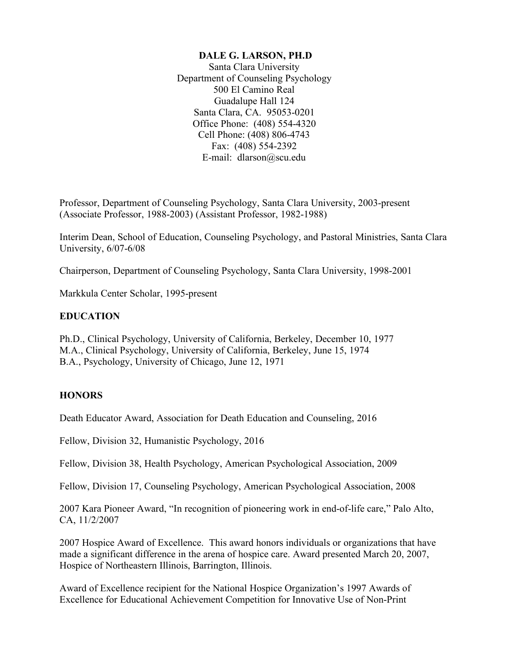## **DALE G. LARSON, PH.D**

Santa Clara University Department of Counseling Psychology 500 El Camino Real Guadalupe Hall 124 Santa Clara, CA. 95053-0201 Office Phone: (408) 554-4320 Cell Phone: (408) 806-4743 Fax: (408) 554-2392 E-mail: dlarson@scu.edu

Professor, Department of Counseling Psychology, Santa Clara University, 2003-present (Associate Professor, 1988-2003) (Assistant Professor, 1982-1988)

Interim Dean, School of Education, Counseling Psychology, and Pastoral Ministries, Santa Clara University, 6/07-6/08

Chairperson, Department of Counseling Psychology, Santa Clara University, 1998-2001

Markkula Center Scholar, 1995-present

## **EDUCATION**

Ph.D., Clinical Psychology, University of California, Berkeley, December 10, 1977 M.A., Clinical Psychology, University of California, Berkeley, June 15, 1974 B.A., Psychology, University of Chicago, June 12, 1971

# **HONORS**

Death Educator Award, Association for Death Education and Counseling, 2016

Fellow, Division 32, Humanistic Psychology, 2016

Fellow, Division 38, Health Psychology, American Psychological Association, 2009

Fellow, Division 17, Counseling Psychology, American Psychological Association, 2008

2007 Kara Pioneer Award, "In recognition of pioneering work in end-of-life care," Palo Alto, CA, 11/2/2007

2007 Hospice Award of Excellence. This award honors individuals or organizations that have made a significant difference in the arena of hospice care. Award presented March 20, 2007, Hospice of Northeastern Illinois, Barrington, Illinois.

Award of Excellence recipient for the National Hospice Organization's 1997 Awards of Excellence for Educational Achievement Competition for Innovative Use of Non-Print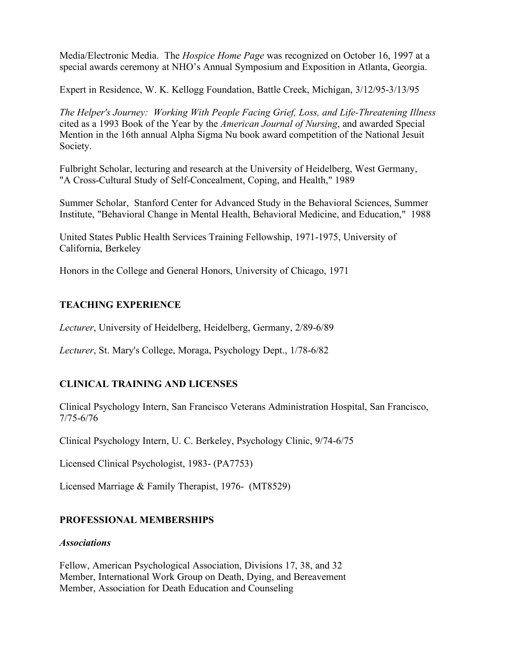Media/Electronic Media. The *Hospice Home Page* was recognized on October 16, 1997 at a special awards ceremony at NHO's Annual Symposium and Exposition in Atlanta, Georgia.

Expert in Residence, W. K. Kellogg Foundation, Battle Creek, Michigan, 3/12/95-3/13/95

*The Helper's Journey: Working With People Facing Grief, Loss, and Life-Threatening Illness* cited as a 1993 Book of the Year by the *American Journal of Nursing*, and awarded Special Mention in the 16th annual Alpha Sigma Nu book award competition of the National Jesuit Society.

Fulbright Scholar, lecturing and research at the University of Heidelberg, West Germany, "A Cross-Cultural Study of Self-Concealment, Coping, and Health," 1989

Summer Scholar, Stanford Center for Advanced Study in the Behavioral Sciences, Summer Institute, "Behavioral Change in Mental Health, Behavioral Medicine, and Education," 1988

United States Public Health Services Training Fellowship, 1971-1975, University of California, Berkeley

Honors in the College and General Honors, University of Chicago, 1971

### **TEACHING EXPERIENCE**

*Lecturer*, University of Heidelberg, Heidelberg, Germany, 2/89-6/89

*Lecturer*, St. Mary's College, Moraga, Psychology Dept., 1/78-6/82

## **CLINICAL TRAINING AND LICENSES**

Clinical Psychology Intern, San Francisco Veterans Administration Hospital, San Francisco, 7/75-6/76

Clinical Psychology Intern, U. C. Berkeley, Psychology Clinic, 9/74-6/75

Licensed Clinical Psychologist, 1983- (PA7753)

Licensed Marriage & Family Therapist, 1976- (MT8529)

## **PROFESSIONAL MEMBERSHIPS**

#### *Associations*

Fellow, American Psychological Association, Divisions 17, 38, and 32 Member, International Work Group on Death, Dying, and Bereavement Member, Association for Death Education and Counseling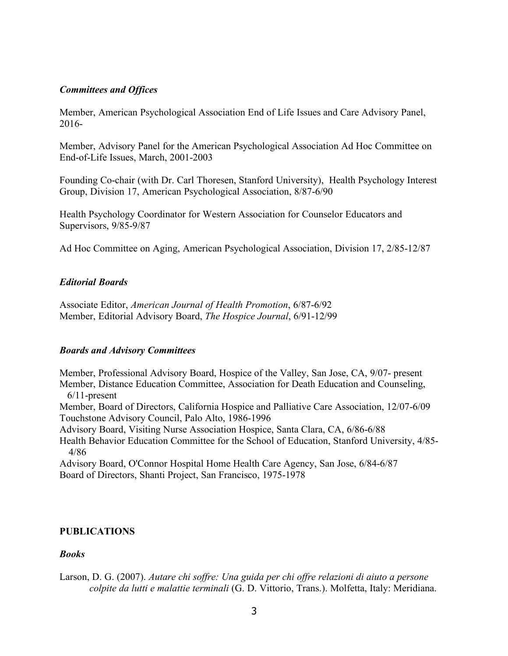### *Committees and Offices*

Member, American Psychological Association End of Life Issues and Care Advisory Panel, 2016-

Member, Advisory Panel for the American Psychological Association Ad Hoc Committee on End-of-Life Issues, March, 2001-2003

Founding Co-chair (with Dr. Carl Thoresen, Stanford University), Health Psychology Interest Group, Division 17, American Psychological Association, 8/87-6/90

Health Psychology Coordinator for Western Association for Counselor Educators and Supervisors, 9/85-9/87

Ad Hoc Committee on Aging, American Psychological Association, Division 17, 2/85-12/87

### *Editorial Boards*

Associate Editor, *American Journal of Health Promotion*, 6/87-6/92 Member, Editorial Advisory Board, *The Hospice Journal*, 6/91-12/99

#### *Boards and Advisory Committees*

Member, Professional Advisory Board, Hospice of the Valley, San Jose, CA, 9/07- present Member, Distance Education Committee, Association for Death Education and Counseling, 6/11-present Member, Board of Directors, California Hospice and Palliative Care Association, 12/07-6/09 Touchstone Advisory Council, Palo Alto, 1986-1996 Advisory Board, Visiting Nurse Association Hospice, Santa Clara, CA, 6/86-6/88 Health Behavior Education Committee for the School of Education, Stanford University, 4/85- 4/86

Advisory Board, O'Connor Hospital Home Health Care Agency, San Jose, 6/84-6/87 Board of Directors, Shanti Project, San Francisco, 1975-1978

## **PUBLICATIONS**

#### *Books*

Larson, D. G. (2007). *Autare chi soffre: Una guida per chi offre relazioni di aiuto a persone colpite da lutti e malattie terminali* (G. D. Vittorio, Trans.). Molfetta, Italy: Meridiana.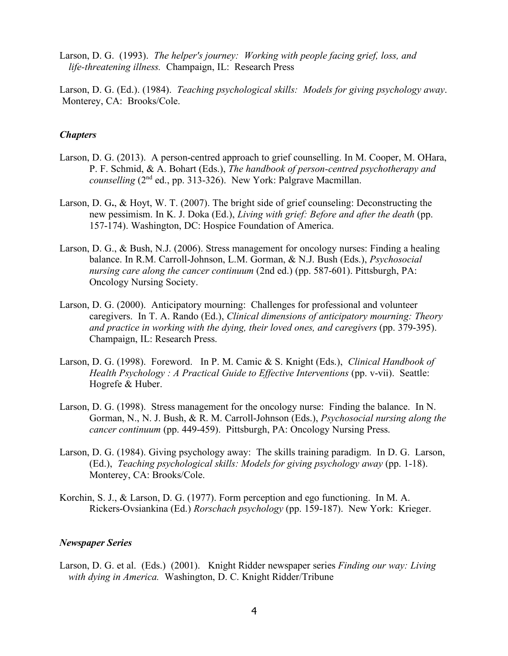Larson, D. G. (1993). *The helper's journey: Working with people facing grief, loss, and life-threatening illness.* Champaign, IL: Research Press

Larson, D. G. (Ed.). (1984). *Teaching psychological skills: Models for giving psychology away*. Monterey, CA: Brooks/Cole.

### *Chapters*

- Larson, D. G. (2013). A person-centred approach to grief counselling. In M. Cooper, M. OHara, P. F. Schmid, & A. Bohart (Eds.), *The handbook of person-centred psychotherapy and counselling* (2nd ed., pp. 313-326). New York: Palgrave Macmillan.
- Larson, D. G**.**, & Hoyt, W. T. (2007). The bright side of grief counseling: Deconstructing the new pessimism. In K. J. Doka (Ed.), *Living with grief: Before and after the death* (pp. 157-174). Washington, DC: Hospice Foundation of America.
- Larson, D. G., & Bush, N.J. (2006). Stress management for oncology nurses: Finding a healing balance. In R.M. Carroll-Johnson, L.M. Gorman, & N.J. Bush (Eds.), *Psychosocial nursing care along the cancer continuum* (2nd ed.) (pp. 587-601). Pittsburgh, PA: Oncology Nursing Society.
- Larson, D. G. (2000). Anticipatory mourning: Challenges for professional and volunteer caregivers. In T. A. Rando (Ed.), *Clinical dimensions of anticipatory mourning: Theory and practice in working with the dying, their loved ones, and caregivers* (pp. 379-395). Champaign, IL: Research Press.
- Larson, D. G. (1998). Foreword. In P. M. Camic & S. Knight (Eds.), *Clinical Handbook of Health Psychology : A Practical Guide to Effective Interventions* (pp. v-vii). Seattle: Hogrefe & Huber.
- Larson, D. G. (1998). Stress management for the oncology nurse: Finding the balance. In N. Gorman, N., N. J. Bush, & R. M. Carroll-Johnson (Eds.), *Psychosocial nursing along the cancer continuum* (pp. 449-459). Pittsburgh, PA: Oncology Nursing Press.
- Larson, D. G. (1984). Giving psychology away: The skills training paradigm. In D. G. Larson, (Ed.), *Teaching psychological skills: Models for giving psychology away* (pp. 1-18). Monterey, CA: Brooks/Cole.
- Korchin, S. J., & Larson, D. G. (1977). Form perception and ego functioning. In M. A. Rickers-Ovsiankina (Ed.) *Rorschach psychology* (pp. 159-187). New York: Krieger.

#### *Newspaper Series*

Larson, D. G. et al. (Eds.) (2001). Knight Ridder newspaper series *Finding our way: Living with dying in America.* Washington, D. C. Knight Ridder/Tribune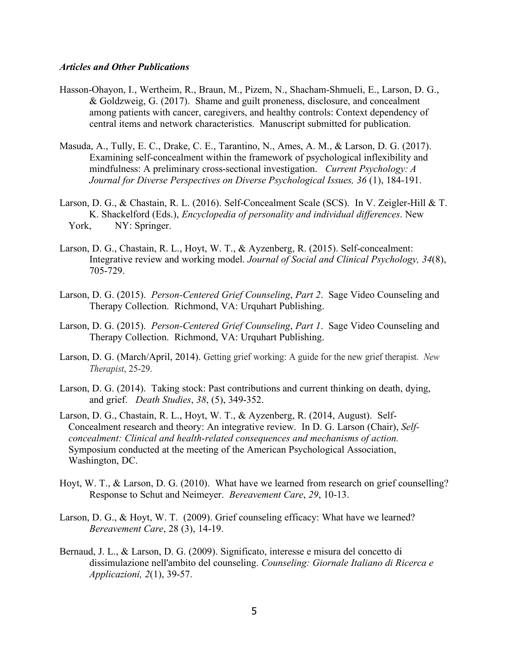#### *Articles and Other Publications*

- Hasson-Ohayon, I., Wertheim, R., Braun, M., Pizem, N., Shacham-Shmueli, E., Larson, D. G., & Goldzweig, G. (2017). Shame and guilt proneness, disclosure, and concealment among patients with cancer, caregivers, and healthy controls: Context dependency of central items and network characteristics. Manuscript submitted for publication.
- Masuda, A., Tully, E. C., Drake, C. E., Tarantino, N., Ames, A. M., & Larson, D. G. (2017). Examining self-concealment within the framework of psychological inflexibility and mindfulness: A preliminary cross-sectional investigation. *Current Psychology: A Journal for Diverse Perspectives on Diverse Psychological Issues, 36* (1), 184-191.
- Larson, D. G., & Chastain, R. L. (2016). Self-Concealment Scale (SCS). In V. Zeigler-Hill & T. K. Shackelford (Eds.), *Encyclopedia of personality and individual differences*. New York, NY: Springer.
- Larson, D. G., Chastain, R. L., Hoyt, W. T., & Ayzenberg, R. (2015). Self-concealment: Integrative review and working model. *Journal of Social and Clinical Psychology, 34*(8), 705-729.
- Larson, D. G. (2015). *Person-Centered Grief Counseling*, *Part 2*. Sage Video Counseling and Therapy Collection. Richmond, VA: Urquhart Publishing.
- Larson, D. G. (2015). *Person-Centered Grief Counseling*, *Part 1*. Sage Video Counseling and Therapy Collection. Richmond, VA: Urquhart Publishing.
- Larson, D. G. (March/April, 2014). Getting grief working: A guide for the new grief therapist. *New Therapist*, 25-29.
- Larson, D. G. (2014). Taking stock: Past contributions and current thinking on death, dying, and grief. *Death Studies*, *38*, (5), 349-352.
- Larson, D. G., Chastain, R. L., Hoyt, W. T., & Ayzenberg, R. (2014, August). Self-Concealment research and theory: An integrative review. In D. G. Larson (Chair), *Selfconcealment: Clinical and health-related consequences and mechanisms of action.*  Symposium conducted at the meeting of the American Psychological Association, Washington, DC.
- Hoyt, W. T., & Larson, D. G. (2010). What have we learned from research on grief counselling? Response to Schut and Neimeyer. *Bereavement Care*, *29*, 10-13.
- Larson, D. G., & Hoyt, W. T. (2009). Grief counseling efficacy: What have we learned? *Bereavement Care*, 28 (3), 14-19.
- Bernaud, J. L., & Larson, D. G. (2009). Significato, interesse e misura del concetto di dissimulazione nell'ambito del counseling. *Counseling: Giornale Italiano di Ricerca e Applicazioni, 2*(1), 39-57.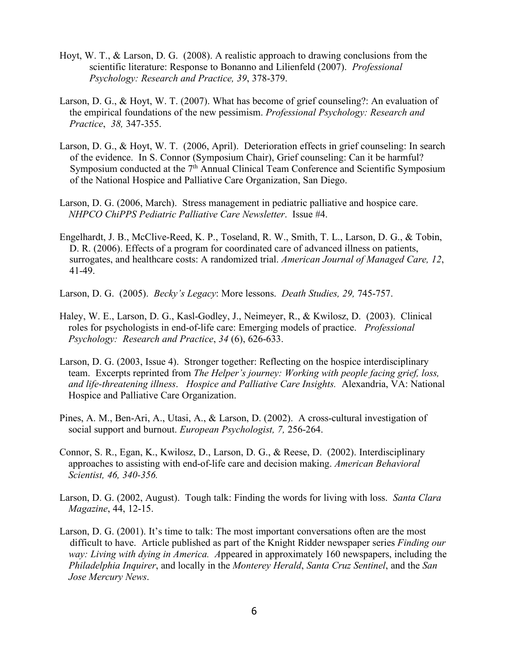- Hoyt, W. T., & Larson, D. G. (2008). A realistic approach to drawing conclusions from the scientific literature: Response to Bonanno and Lilienfeld (2007). *Professional Psychology: Research and Practice, 39*, 378-379.
- Larson, D. G., & Hoyt, W. T. (2007). What has become of grief counseling?: An evaluation of the empirical foundations of the new pessimism. *Professional Psychology: Research and Practice*, *38,* 347-355.
- Larson, D. G., & Hoyt, W. T. (2006, April). Deterioration effects in grief counseling: In search of the evidence. In S. Connor (Symposium Chair), Grief counseling: Can it be harmful? Symposium conducted at the  $7<sup>th</sup>$  Annual Clinical Team Conference and Scientific Symposium of the National Hospice and Palliative Care Organization, San Diego.
- Larson, D. G. (2006, March). Stress management in pediatric palliative and hospice care. *NHPCO ChiPPS Pediatric Palliative Care Newsletter*. Issue #4.
- Engelhardt, J. B., McClive-Reed, K. P., Toseland, R. W., Smith, T. L., Larson, D. G., & Tobin, D. R. (2006). Effects of a program for coordinated care of advanced illness on patients, surrogates, and healthcare costs: A randomized trial. *American Journal of Managed Care, 12*, 41-49.
- Larson, D. G. (2005). *Becky's Legacy*: More lessons. *Death Studies, 29,* 745-757.
- Haley, W. E., Larson, D. G., Kasl-Godley, J., Neimeyer, R., & Kwilosz, D. (2003). Clinical roles for psychologists in end-of-life care: Emerging models of practice. *Professional Psychology: Research and Practice*, *34* (6), 626-633.
- Larson, D. G. (2003, Issue 4).Stronger together: Reflecting on the hospice interdisciplinary team.Excerpts reprinted from *The Helper's journey: Working with people facing grief, loss, and life-threatening illness*. *Hospice and Palliative Care Insights.* Alexandria, VA: National Hospice and Palliative Care Organization.
- Pines, A. M., Ben-Ari, A., Utasi, A., & Larson, D. (2002). A cross-cultural investigation of social support and burnout. *European Psychologist, 7,* 256-264.
- Connor, S. R., Egan, K., Kwilosz, D., Larson, D. G., & Reese, D. (2002). Interdisciplinary approaches to assisting with end-of-life care and decision making. *American Behavioral Scientist, 46, 340-356.*
- Larson, D. G. (2002, August). Tough talk: Finding the words for living with loss. *Santa Clara Magazine*, 44, 12-15.
- Larson, D. G. (2001). It's time to talk: The most important conversations often are the most difficult to have. Article published as part of the Knight Ridder newspaper series *Finding our way: Living with dying in America. A*ppeared in approximately 160 newspapers, including the *Philadelphia Inquirer*, and locally in the *Monterey Herald*, *Santa Cruz Sentinel*, and the *San Jose Mercury News*.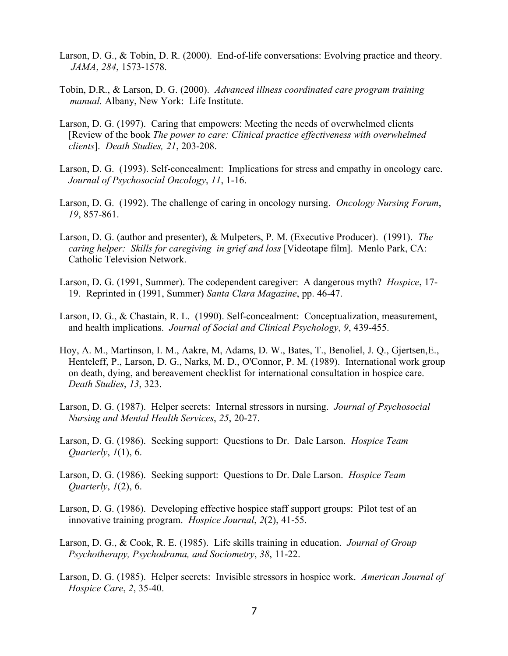- Larson, D. G., & Tobin, D. R. (2000). End-of-life conversations: Evolving practice and theory. *JAMA*, *284*, 1573-1578.
- Tobin, D.R., & Larson, D. G. (2000). *Advanced illness coordinated care program training manual.* Albany, New York: Life Institute.
- Larson, D. G. (1997). Caring that empowers: Meeting the needs of overwhelmed clients [Review of the book *The power to care: Clinical practice effectiveness with overwhelmed clients*]. *Death Studies, 21*, 203-208.
- Larson, D. G. (1993). Self-concealment: Implications for stress and empathy in oncology care. *Journal of Psychosocial Oncology*, *11*, 1-16.
- Larson, D. G. (1992). The challenge of caring in oncology nursing. *Oncology Nursing Forum*, *19*, 857-861.
- Larson, D. G. (author and presenter), & Mulpeters, P. M. (Executive Producer). (1991). *The caring helper: Skills for caregiving in grief and loss* [Videotape film]. Menlo Park, CA: Catholic Television Network.
- Larson, D. G. (1991, Summer). The codependent caregiver: A dangerous myth? *Hospice*, 17- 19. Reprinted in (1991, Summer) *Santa Clara Magazine*, pp. 46-47.
- Larson, D. G., & Chastain, R. L. (1990). Self-concealment: Conceptualization, measurement, and health implications. *Journal of Social and Clinical Psychology*, *9*, 439-455.
- Hoy, A. M., Martinson, I. M., Aakre, M, Adams, D. W., Bates, T., Benoliel, J. Q., Gjertsen,E., Henteleff, P., Larson, D. G., Narks, M. D., O'Connor, P. M. (1989). International work group on death, dying, and bereavement checklist for international consultation in hospice care. *Death Studies*, *13*, 323.
- Larson, D. G. (1987). Helper secrets: Internal stressors in nursing. *Journal of Psychosocial Nursing and Mental Health Services*, *25*, 20-27.
- Larson, D. G. (1986). Seeking support: Questions to Dr. Dale Larson. *Hospice Team Quarterly*, *1*(1), 6.
- Larson, D. G. (1986). Seeking support: Questions to Dr. Dale Larson. *Hospice Team Quarterly*, *1*(2), 6.
- Larson, D. G. (1986). Developing effective hospice staff support groups: Pilot test of an innovative training program. *Hospice Journal*, *2*(2), 41-55.
- Larson, D. G., & Cook, R. E. (1985). Life skills training in education. *Journal of Group Psychotherapy, Psychodrama, and Sociometry*, *38*, 11-22.
- Larson, D. G. (1985). Helper secrets: Invisible stressors in hospice work. *American Journal of Hospice Care*, *2*, 35-40.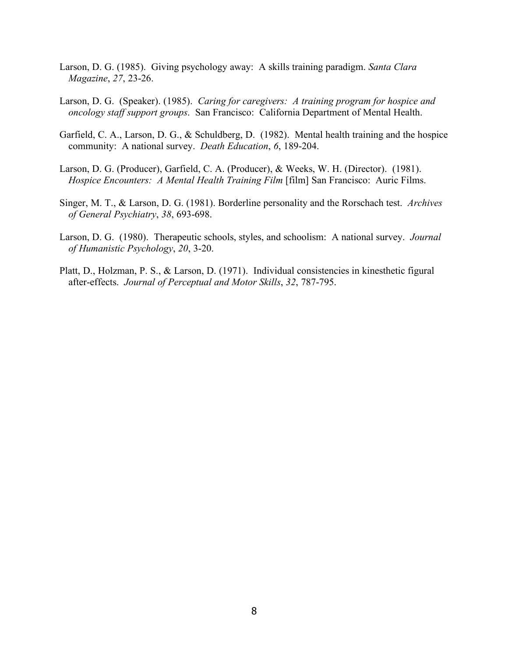- Larson, D. G. (1985). Giving psychology away: A skills training paradigm. *Santa Clara Magazine*, *27*, 23-26.
- Larson, D. G. (Speaker). (1985). *Caring for caregivers: A training program for hospice and oncology staff support groups*. San Francisco: California Department of Mental Health.
- Garfield, C. A., Larson, D. G., & Schuldberg, D. (1982). Mental health training and the hospice community: A national survey. *Death Education*, *6*, 189-204.
- Larson, D. G. (Producer), Garfield, C. A. (Producer), & Weeks, W. H. (Director). (1981). *Hospice Encounters: A Mental Health Training Film* [film] San Francisco: Auric Films.
- Singer, M. T., & Larson, D. G. (1981). Borderline personality and the Rorschach test. *Archives of General Psychiatry*, *38*, 693-698.
- Larson, D. G. (1980). Therapeutic schools, styles, and schoolism: A national survey. *Journal of Humanistic Psychology*, *20*, 3-20.
- Platt, D., Holzman, P. S., & Larson, D. (1971). Individual consistencies in kinesthetic figural after-effects. *Journal of Perceptual and Motor Skills*, *32*, 787-795.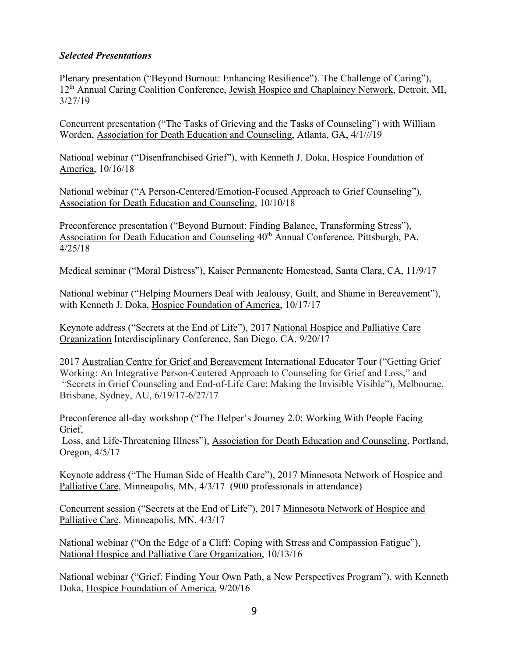# *Selected Presentations*

Plenary presentation ("Beyond Burnout: Enhancing Resilience"). The Challenge of Caring"), 12<sup>th</sup> Annual Caring Coalition Conference, Jewish Hospice and Chaplaincy Network, Detroit, MI, 3/27/19

Concurrent presentation ("The Tasks of Grieving and the Tasks of Counseling") with William Worden, Association for Death Education and Counseling, Atlanta, GA, 4/1///19

National webinar ("Disenfranchised Grief"), with Kenneth J. Doka, Hospice Foundation of America, 10/16/18

National webinar ("A Person-Centered/Emotion-Focused Approach to Grief Counseling"), Association for Death Education and Counseling, 10/10/18

Preconference presentation ("Beyond Burnout: Finding Balance, Transforming Stress"), Association for Death Education and Counseling  $40<sup>th</sup>$  Annual Conference, Pittsburgh, PA, 4/25/18

Medical seminar ("Moral Distress"), Kaiser Permanente Homestead, Santa Clara, CA, 11/9/17

National webinar ("Helping Mourners Deal with Jealousy, Guilt, and Shame in Bereavement"), with Kenneth J. Doka, Hospice Foundation of America, 10/17/17

Keynote address ("Secrets at the End of Life"), 2017 National Hospice and Palliative Care Organization Interdisciplinary Conference, San Diego, CA, 9/20/17

2017 Australian Centre for Grief and Bereavement International Educator Tour ("Getting Grief Working: An Integrative Person-Centered Approach to Counseling for Grief and Loss," and "Secrets in Grief Counseling and End-of-Life Care: Making the Invisible Visible"), Melbourne, Brisbane, Sydney, AU, 6/19/17-6/27/17

Preconference all-day workshop ("The Helper's Journey 2.0: Working With People Facing Grief,

Loss, and Life-Threatening Illness"), Association for Death Education and Counseling, Portland, Oregon, 4/5/17

Keynote address ("The Human Side of Health Care"), 2017 Minnesota Network of Hospice and Palliative Care, Minneapolis, MN, 4/3/17 (900 professionals in attendance)

Concurrent session ("Secrets at the End of Life"), 2017 Minnesota Network of Hospice and Palliative Care, Minneapolis, MN, 4/3/17

National webinar ("On the Edge of a Cliff: Coping with Stress and Compassion Fatigue"), National Hospice and Palliative Care Organization, 10/13/16

National webinar ("Grief: Finding Your Own Path, a New Perspectives Program"), with Kenneth Doka, Hospice Foundation of America, 9/20/16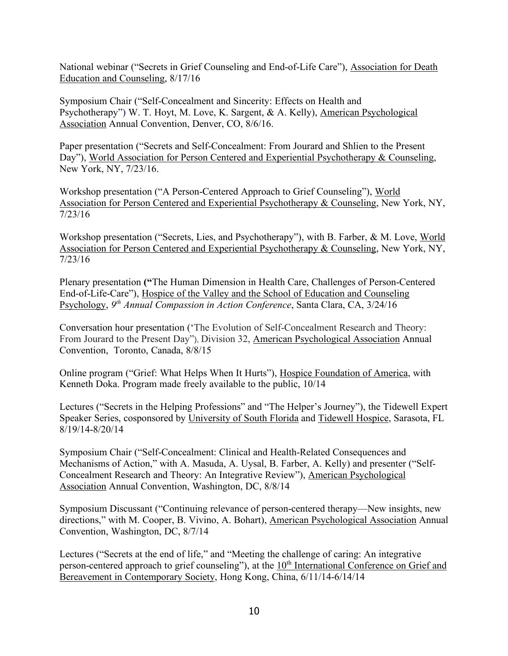National webinar ("Secrets in Grief Counseling and End-of-Life Care"), Association for Death Education and Counseling, 8/17/16

Symposium Chair ("Self-Concealment and Sincerity: Effects on Health and Psychotherapy") W. T. Hoyt, M. Love, K. Sargent, & A. Kelly), American Psychological Association Annual Convention, Denver, CO, 8/6/16.

Paper presentation ("Secrets and Self-Concealment: From Jourard and Shlien to the Present Day"), World Association for Person Centered and Experiential Psychotherapy & Counseling, New York, NY, 7/23/16.

Workshop presentation ("A Person-Centered Approach to Grief Counseling"), World Association for Person Centered and Experiential Psychotherapy & Counseling, New York, NY, 7/23/16

Workshop presentation ("Secrets, Lies, and Psychotherapy"), with B. Farber, & M. Love, World Association for Person Centered and Experiential Psychotherapy & Counseling, New York, NY, 7/23/16

Plenary presentation **("**The Human Dimension in Health Care, Challenges of Person-Centered End-of-Life-Care"), Hospice of the Valley and the School of Education and Counseling Psychology, *9th Annual Compassion in Action Conference*, Santa Clara, CA, 3/24/16

Conversation hour presentation ('The Evolution of Self-Concealment Research and Theory: From Jourard to the Present Day"), Division 32, American Psychological Association Annual Convention, Toronto, Canada, 8/8/15

Online program ("Grief: What Helps When It Hurts"), Hospice Foundation of America, with Kenneth Doka. Program made freely available to the public, 10/14

Lectures ("Secrets in the Helping Professions" and "The Helper's Journey"), the Tidewell Expert Speaker Series, cosponsored by University of South Florida and Tidewell Hospice, Sarasota, FL 8/19/14-8/20/14

Symposium Chair ("Self-Concealment: Clinical and Health-Related Consequences and Mechanisms of Action," with A. Masuda, A. Uysal, B. Farber, A. Kelly) and presenter ("Self-Concealment Research and Theory: An Integrative Review"), American Psychological Association Annual Convention, Washington, DC, 8/8/14

Symposium Discussant ("Continuing relevance of person-centered therapy—New insights, new directions," with M. Cooper, B. Vivino, A. Bohart), American Psychological Association Annual Convention, Washington, DC, 8/7/14

Lectures ("Secrets at the end of life," and "Meeting the challenge of caring: An integrative person-centered approach to grief counseling"), at the 10<sup>th</sup> International Conference on Grief and Bereavement in Contemporary Society, Hong Kong, China, 6/11/14-6/14/14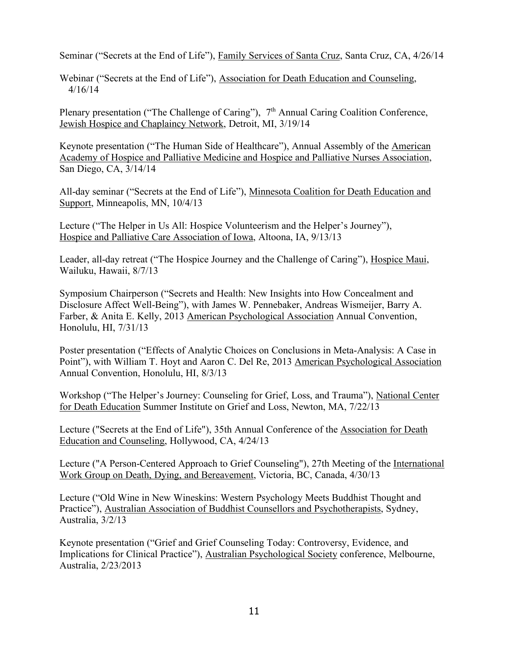Seminar ("Secrets at the End of Life"), Family Services of Santa Cruz, Santa Cruz, CA, 4/26/14

Webinar ("Secrets at the End of Life"), Association for Death Education and Counseling, 4/16/14

Plenary presentation ("The Challenge of Caring"), 7<sup>th</sup> Annual Caring Coalition Conference, Jewish Hospice and Chaplaincy Network, Detroit, MI, 3/19/14

Keynote presentation ("The Human Side of Healthcare"), Annual Assembly of the American Academy of Hospice and Palliative Medicine and Hospice and Palliative Nurses Association, San Diego, CA, 3/14/14

All-day seminar ("Secrets at the End of Life"), Minnesota Coalition for Death Education and Support, Minneapolis, MN, 10/4/13

Lecture ("The Helper in Us All: Hospice Volunteerism and the Helper's Journey"), Hospice and Palliative Care Association of Iowa, Altoona, IA, 9/13/13

Leader, all-day retreat ("The Hospice Journey and the Challenge of Caring"), Hospice Maui, Wailuku, Hawaii, 8/7/13

Symposium Chairperson ("Secrets and Health: New Insights into How Concealment and Disclosure Affect Well-Being"), with James W. Pennebaker, Andreas Wismeijer, Barry A. Farber, & Anita E. Kelly, 2013 American Psychological Association Annual Convention, Honolulu, HI, 7/31/13

Poster presentation ("Effects of Analytic Choices on Conclusions in Meta-Analysis: A Case in Point"), with William T. Hoyt and Aaron C. Del Re, 2013 American Psychological Association Annual Convention, Honolulu, HI, 8/3/13

Workshop ("The Helper's Journey: Counseling for Grief, Loss, and Trauma"), National Center for Death Education Summer Institute on Grief and Loss, Newton, MA, 7/22/13

Lecture ("Secrets at the End of Life"), 35th Annual Conference of the Association for Death Education and Counseling, Hollywood, CA, 4/24/13

Lecture ("A Person-Centered Approach to Grief Counseling"), 27th Meeting of the International Work Group on Death, Dying, and Bereavement, Victoria, BC, Canada, 4/30/13

Lecture ("Old Wine in New Wineskins: Western Psychology Meets Buddhist Thought and Practice"), Australian Association of Buddhist Counsellors and Psychotherapists, Sydney, Australia, 3/2/13

Keynote presentation ("Grief and Grief Counseling Today: Controversy, Evidence, and Implications for Clinical Practice"), Australian Psychological Society conference, Melbourne, Australia, 2/23/2013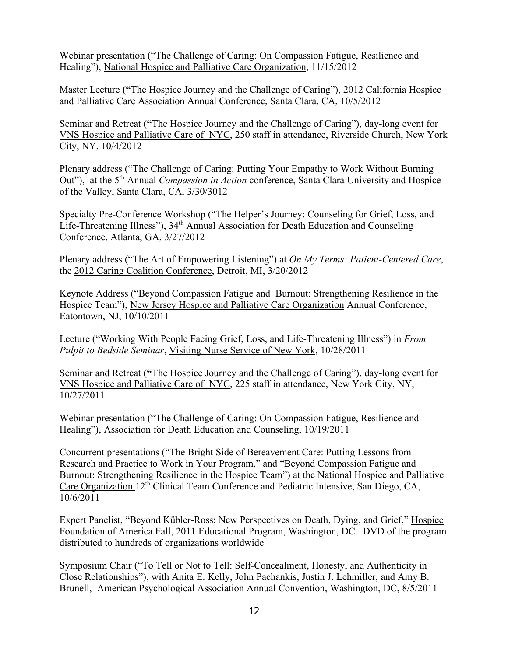Webinar presentation ("The Challenge of Caring: On Compassion Fatigue, Resilience and Healing"), National Hospice and Palliative Care Organization, 11/15/2012

Master Lecture **("**The Hospice Journey and the Challenge of Caring"), 2012 California Hospice and Palliative Care Association Annual Conference, Santa Clara, CA, 10/5/2012

Seminar and Retreat **("**The Hospice Journey and the Challenge of Caring"), day-long event for VNS Hospice and Palliative Care of NYC, 250 staff in attendance, Riverside Church, New York City, NY, 10/4/2012

Plenary address ("The Challenge of Caring: Putting Your Empathy to Work Without Burning Out"), at the 5<sup>th</sup> Annual *Compassion in Action* conference, Santa Clara University and Hospice of the Valley, Santa Clara, CA, 3/30/3012

Specialty Pre-Conference Workshop ("The Helper's Journey: Counseling for Grief, Loss, and Life-Threatening Illness"), 34<sup>th</sup> Annual Association for Death Education and Counseling Conference, Atlanta, GA, 3/27/2012

Plenary address ("The Art of Empowering Listening") at *On My Terms: Patient-Centered Care*, the 2012 Caring Coalition Conference, Detroit, MI, 3/20/2012

Keynote Address ("Beyond Compassion Fatigue and Burnout: Strengthening Resilience in the Hospice Team"), New Jersey Hospice and Palliative Care Organization Annual Conference, Eatontown, NJ, 10/10/2011

Lecture ("Working With People Facing Grief, Loss, and Life-Threatening Illness") in *From Pulpit to Bedside Seminar*, Visiting Nurse Service of New York, 10/28/2011

Seminar and Retreat **("**The Hospice Journey and the Challenge of Caring"), day-long event for VNS Hospice and Palliative Care of NYC, 225 staff in attendance, New York City, NY, 10/27/2011

Webinar presentation ("The Challenge of Caring: On Compassion Fatigue, Resilience and Healing"), Association for Death Education and Counseling, 10/19/2011

Concurrent presentations ("The Bright Side of Bereavement Care: Putting Lessons from Research and Practice to Work in Your Program," and "Beyond Compassion Fatigue and Burnout: Strengthening Resilience in the Hospice Team") at the National Hospice and Palliative Care Organization 12<sup>th</sup> Clinical Team Conference and Pediatric Intensive, San Diego, CA, 10/6/2011

Expert Panelist, "Beyond Kübler-Ross: New Perspectives on Death, Dying, and Grief," Hospice Foundation of America Fall, 2011 Educational Program, Washington, DC. DVD of the program distributed to hundreds of organizations worldwide

Symposium Chair ("To Tell or Not to Tell: Self-Concealment, Honesty, and Authenticity in Close Relationships"), with Anita E. Kelly, John Pachankis, Justin J. Lehmiller, and Amy B. Brunell, American Psychological Association Annual Convention, Washington, DC, 8/5/2011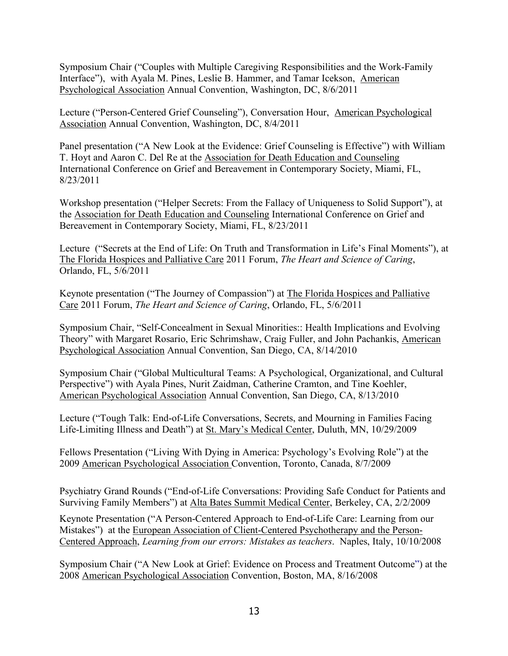Symposium Chair ("Couples with Multiple Caregiving Responsibilities and the Work-Family Interface"), with Ayala M. Pines, Leslie B. Hammer, and Tamar Icekson, American Psychological Association Annual Convention, Washington, DC, 8/6/2011

Lecture ("Person-Centered Grief Counseling"), Conversation Hour, American Psychological Association Annual Convention, Washington, DC, 8/4/2011

Panel presentation ("A New Look at the Evidence: Grief Counseling is Effective") with William T. Hoyt and Aaron C. Del Re at the Association for Death Education and Counseling International Conference on Grief and Bereavement in Contemporary Society, Miami, FL, 8/23/2011

Workshop presentation ("Helper Secrets: From the Fallacy of Uniqueness to Solid Support"), at the Association for Death Education and Counseling International Conference on Grief and Bereavement in Contemporary Society, Miami, FL, 8/23/2011

Lecture ("Secrets at the End of Life: On Truth and Transformation in Life's Final Moments"), at The Florida Hospices and Palliative Care 2011 Forum, *The Heart and Science of Caring*, Orlando, FL, 5/6/2011

Keynote presentation ("The Journey of Compassion") at The Florida Hospices and Palliative Care 2011 Forum, *The Heart and Science of Caring*, Orlando, FL, 5/6/2011

Symposium Chair, "Self-Concealment in Sexual Minorities:: Health Implications and Evolving Theory" with Margaret Rosario, Eric Schrimshaw, Craig Fuller, and John Pachankis, American Psychological Association Annual Convention, San Diego, CA, 8/14/2010

Symposium Chair ("Global Multicultural Teams: A Psychological, Organizational, and Cultural Perspective") with Ayala Pines, Nurit Zaidman, Catherine Cramton, and Tine Koehler, American Psychological Association Annual Convention, San Diego, CA, 8/13/2010

Lecture ("Tough Talk: End-of-Life Conversations, Secrets, and Mourning in Families Facing Life-Limiting Illness and Death") at St. Mary's Medical Center, Duluth, MN, 10/29/2009

Fellows Presentation ("Living With Dying in America: Psychology's Evolving Role") at the 2009 American Psychological Association Convention, Toronto, Canada, 8/7/2009

Psychiatry Grand Rounds ("End-of-Life Conversations: Providing Safe Conduct for Patients and Surviving Family Members") at Alta Bates Summit Medical Center, Berkeley, CA, 2/2/2009

Keynote Presentation ("A Person-Centered Approach to End-of-Life Care: Learning from our Mistakes") at the European Association of Client-Centered Psychotherapy and the Person-Centered Approach, *Learning from our errors: Mistakes as teachers*. Naples, Italy, 10/10/2008

Symposium Chair ("A New Look at Grief: Evidence on Process and Treatment Outcome") at the 2008 American Psychological Association Convention, Boston, MA, 8/16/2008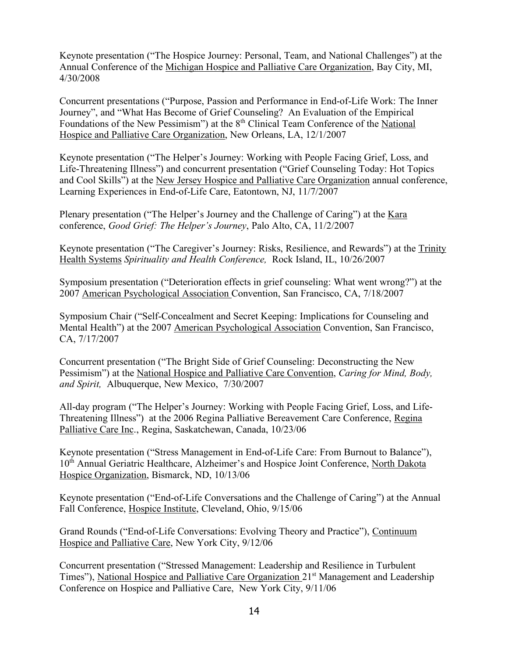Keynote presentation ("The Hospice Journey: Personal, Team, and National Challenges") at the Annual Conference of the Michigan Hospice and Palliative Care Organization, Bay City, MI, 4/30/2008

Concurrent presentations ("Purpose, Passion and Performance in End-of-Life Work: The Inner Journey", and "What Has Become of Grief Counseling? An Evaluation of the Empirical Foundations of the New Pessimism") at the 8<sup>th</sup> Clinical Team Conference of the National Hospice and Palliative Care Organization, New Orleans, LA, 12/1/2007

Keynote presentation ("The Helper's Journey: Working with People Facing Grief, Loss, and Life-Threatening Illness") and concurrent presentation ("Grief Counseling Today: Hot Topics and Cool Skills") at the New Jersey Hospice and Palliative Care Organization annual conference, Learning Experiences in End-of-Life Care, Eatontown, NJ, 11/7/2007

Plenary presentation ("The Helper's Journey and the Challenge of Caring") at the Kara conference, *Good Grief: The Helper's Journey*, Palo Alto, CA, 11/2/2007

Keynote presentation ("The Caregiver's Journey: Risks, Resilience, and Rewards") at the Trinity Health Systems *Spirituality and Health Conference,* Rock Island, IL, 10/26/2007

Symposium presentation ("Deterioration effects in grief counseling: What went wrong?") at the 2007 American Psychological Association Convention, San Francisco, CA, 7/18/2007

Symposium Chair ("Self-Concealment and Secret Keeping: Implications for Counseling and Mental Health") at the 2007 American Psychological Association Convention, San Francisco, CA, 7/17/2007

Concurrent presentation ("The Bright Side of Grief Counseling: Deconstructing the New Pessimism") at the National Hospice and Palliative Care Convention, *Caring for Mind, Body, and Spirit,* Albuquerque, New Mexico, 7/30/2007

All-day program ("The Helper's Journey: Working with People Facing Grief, Loss, and Life-Threatening Illness") at the 2006 Regina Palliative Bereavement Care Conference, Regina Palliative Care Inc., Regina, Saskatchewan, Canada, 10/23/06

Keynote presentation ("Stress Management in End-of-Life Care: From Burnout to Balance"), 10<sup>th</sup> Annual Geriatric Healthcare, Alzheimer's and Hospice Joint Conference, North Dakota Hospice Organization, Bismarck, ND, 10/13/06

Keynote presentation ("End-of-Life Conversations and the Challenge of Caring") at the Annual Fall Conference, Hospice Institute, Cleveland, Ohio, 9/15/06

Grand Rounds ("End-of-Life Conversations: Evolving Theory and Practice"), Continuum Hospice and Palliative Care, New York City, 9/12/06

Concurrent presentation ("Stressed Management: Leadership and Resilience in Turbulent Times"), National Hospice and Palliative Care Organization 21<sup>st</sup> Management and Leadership Conference on Hospice and Palliative Care, New York City, 9/11/06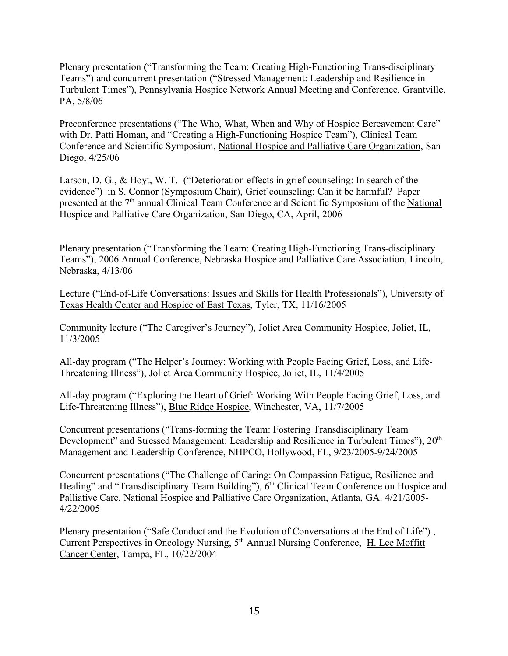Plenary presentation **(**"Transforming the Team: Creating High-Functioning Trans-disciplinary Teams") and concurrent presentation ("Stressed Management: Leadership and Resilience in Turbulent Times"), Pennsylvania Hospice Network Annual Meeting and Conference, Grantville, PA, 5/8/06

Preconference presentations ("The Who, What, When and Why of Hospice Bereavement Care" with Dr. Patti Homan, and "Creating a High-Functioning Hospice Team"), Clinical Team Conference and Scientific Symposium, National Hospice and Palliative Care Organization, San Diego, 4/25/06

Larson, D. G., & Hoyt, W. T. ("Deterioration effects in grief counseling: In search of the evidence") in S. Connor (Symposium Chair), Grief counseling: Can it be harmful? Paper presented at the 7<sup>th</sup> annual Clinical Team Conference and Scientific Symposium of the National Hospice and Palliative Care Organization, San Diego, CA, April, 2006

Plenary presentation ("Transforming the Team: Creating High-Functioning Trans-disciplinary Teams"), 2006 Annual Conference, Nebraska Hospice and Palliative Care Association, Lincoln, Nebraska, 4/13/06

Lecture ("End-of-Life Conversations: Issues and Skills for Health Professionals"), University of Texas Health Center and Hospice of East Texas, Tyler, TX, 11/16/2005

Community lecture ("The Caregiver's Journey"), Joliet Area Community Hospice, Joliet, IL, 11/3/2005

All-day program ("The Helper's Journey: Working with People Facing Grief, Loss, and Life-Threatening Illness"), Joliet Area Community Hospice, Joliet, IL, 11/4/2005

All-day program ("Exploring the Heart of Grief: Working With People Facing Grief, Loss, and Life-Threatening Illness"), Blue Ridge Hospice, Winchester, VA, 11/7/2005

Concurrent presentations ("Trans-forming the Team: Fostering Transdisciplinary Team Development" and Stressed Management: Leadership and Resilience in Turbulent Times"),  $20<sup>th</sup>$ Management and Leadership Conference, NHPCO, Hollywood, FL, 9/23/2005-9/24/2005

Concurrent presentations ("The Challenge of Caring: On Compassion Fatigue, Resilience and Healing" and "Transdisciplinary Team Building"),  $6<sup>th</sup>$  Clinical Team Conference on Hospice and Palliative Care, National Hospice and Palliative Care Organization, Atlanta, GA. 4/21/2005- 4/22/2005

Plenary presentation ("Safe Conduct and the Evolution of Conversations at the End of Life") , Current Perspectives in Oncology Nursing, 5th Annual Nursing Conference, H. Lee Moffitt Cancer Center, Tampa, FL, 10/22/2004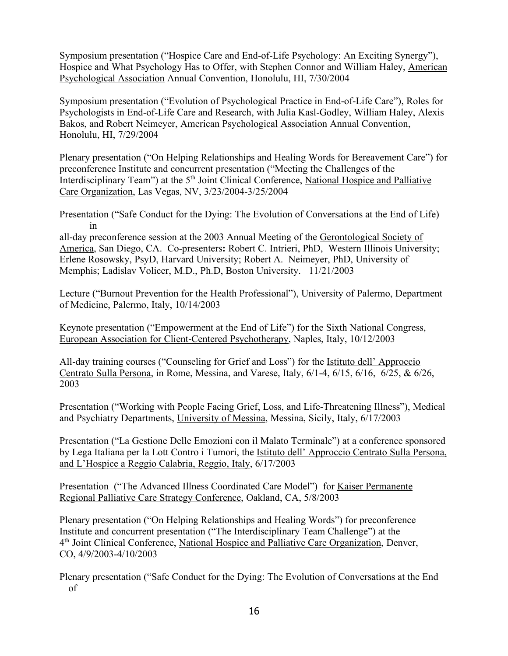Symposium presentation ("Hospice Care and End-of-Life Psychology: An Exciting Synergy"), Hospice and What Psychology Has to Offer, with Stephen Connor and William Haley, American Psychological Association Annual Convention, Honolulu, HI, 7/30/2004

Symposium presentation ("Evolution of Psychological Practice in End-of-Life Care"), Roles for Psychologists in End-of-Life Care and Research, with Julia Kasl-Godley, William Haley, Alexis Bakos, and Robert Neimeyer, American Psychological Association Annual Convention, Honolulu, HI, 7/29/2004

Plenary presentation ("On Helping Relationships and Healing Words for Bereavement Care") for preconference Institute and concurrent presentation ("Meeting the Challenges of the Interdisciplinary Team") at the 5<sup>th</sup> Joint Clinical Conference, National Hospice and Palliative Care Organization, Las Vegas, NV, 3/23/2004-3/25/2004

Presentation ("Safe Conduct for the Dying: The Evolution of Conversations at the End of Life) in

all-day preconference session at the 2003 Annual Meeting of the Gerontological Society of America, San Diego, CA. Co-presenters**:** Robert C. Intrieri, PhD, Western Illinois University; Erlene Rosowsky, PsyD, Harvard University; Robert A. Neimeyer, PhD, University of Memphis; Ladislav Volicer, M.D., Ph.D, Boston University. 11/21/2003

Lecture ("Burnout Prevention for the Health Professional"), University of Palermo, Department of Medicine, Palermo, Italy, 10/14/2003

Keynote presentation ("Empowerment at the End of Life") for the Sixth National Congress, European Association for Client-Centered Psychotherapy, Naples, Italy, 10/12/2003

All-day training courses ("Counseling for Grief and Loss") for the Istituto dell' Approccio Centrato Sulla Persona, in Rome, Messina, and Varese, Italy, 6/1-4, 6/15, 6/16, 6/25, & 6/26, 2003

Presentation ("Working with People Facing Grief, Loss, and Life-Threatening Illness"), Medical and Psychiatry Departments, University of Messina, Messina, Sicily, Italy, 6/17/2003

Presentation ("La Gestione Delle Emozioni con il Malato Terminale") at a conference sponsored by Lega Italiana per la Lott Contro i Tumori, the Istituto dell' Approccio Centrato Sulla Persona, and L'Hospice a Reggio Calabria, Reggio, Italy, 6/17/2003

Presentation ("The Advanced Illness Coordinated Care Model") for Kaiser Permanente Regional Palliative Care Strategy Conference, Oakland, CA, 5/8/2003

Plenary presentation ("On Helping Relationships and Healing Words") for preconference Institute and concurrent presentation ("The Interdisciplinary Team Challenge") at the 4th Joint Clinical Conference, National Hospice and Palliative Care Organization, Denver, CO, 4/9/2003-4/10/2003

Plenary presentation ("Safe Conduct for the Dying: The Evolution of Conversations at the End of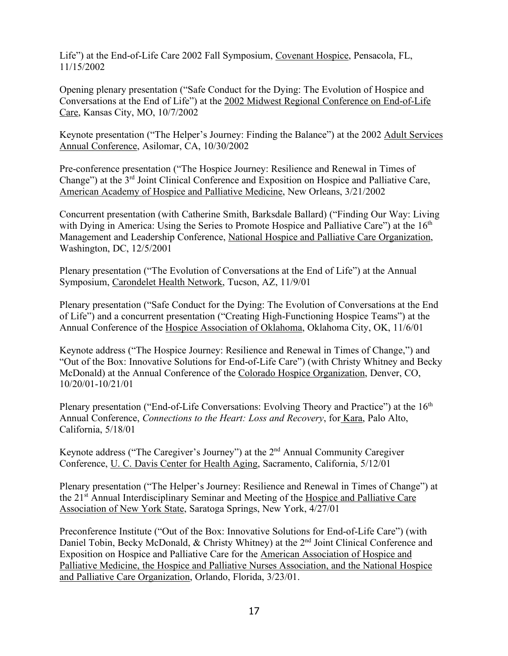Life") at the End-of-Life Care 2002 Fall Symposium, Covenant Hospice, Pensacola, FL, 11/15/2002

Opening plenary presentation ("Safe Conduct for the Dying: The Evolution of Hospice and Conversations at the End of Life") at the 2002 Midwest Regional Conference on End-of-Life Care, Kansas City, MO, 10/7/2002

Keynote presentation ("The Helper's Journey: Finding the Balance") at the 2002 Adult Services Annual Conference, Asilomar, CA, 10/30/2002

Pre-conference presentation ("The Hospice Journey: Resilience and Renewal in Times of Change") at the 3rd Joint Clinical Conference and Exposition on Hospice and Palliative Care, American Academy of Hospice and Palliative Medicine, New Orleans, 3/21/2002

Concurrent presentation (with Catherine Smith, Barksdale Ballard) ("Finding Our Way: Living with Dying in America: Using the Series to Promote Hospice and Palliative Care") at the  $16<sup>th</sup>$ Management and Leadership Conference, National Hospice and Palliative Care Organization, Washington, DC, 12/5/2001

Plenary presentation ("The Evolution of Conversations at the End of Life") at the Annual Symposium, Carondelet Health Network, Tucson, AZ, 11/9/01

Plenary presentation ("Safe Conduct for the Dying: The Evolution of Conversations at the End of Life") and a concurrent presentation ("Creating High-Functioning Hospice Teams") at the Annual Conference of the Hospice Association of Oklahoma, Oklahoma City, OK, 11/6/01

Keynote address ("The Hospice Journey: Resilience and Renewal in Times of Change,") and "Out of the Box: Innovative Solutions for End-of-Life Care") (with Christy Whitney and Becky McDonald) at the Annual Conference of the Colorado Hospice Organization, Denver, CO, 10/20/01-10/21/01

Plenary presentation ("End-of-Life Conversations: Evolving Theory and Practice") at the 16<sup>th</sup> Annual Conference, *Connections to the Heart: Loss and Recovery*, for Kara, Palo Alto, California, 5/18/01

Keynote address ("The Caregiver's Journey") at the  $2<sup>nd</sup>$  Annual Community Caregiver Conference, U. C. Davis Center for Health Aging, Sacramento, California, 5/12/01

Plenary presentation ("The Helper's Journey: Resilience and Renewal in Times of Change") at the 21<sup>st</sup> Annual Interdisciplinary Seminar and Meeting of the Hospice and Palliative Care Association of New York State, Saratoga Springs, New York, 4/27/01

Preconference Institute ("Out of the Box: Innovative Solutions for End-of-Life Care") (with Daniel Tobin, Becky McDonald, & Christy Whitney) at the 2<sup>nd</sup> Joint Clinical Conference and Exposition on Hospice and Palliative Care for the American Association of Hospice and Palliative Medicine, the Hospice and Palliative Nurses Association, and the National Hospice and Palliative Care Organization, Orlando, Florida, 3/23/01.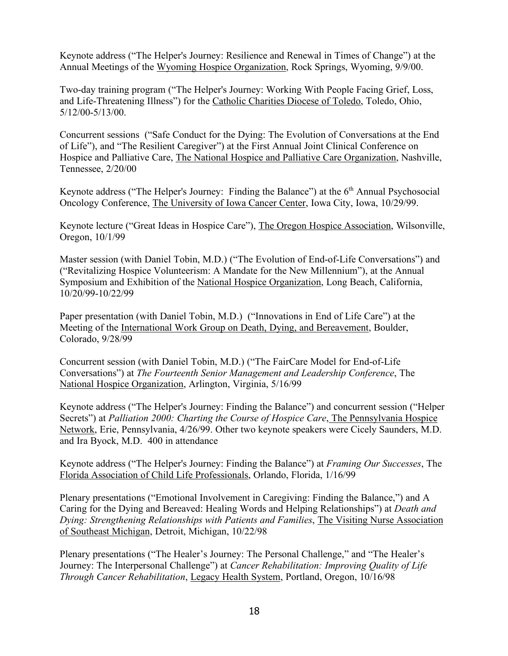Keynote address ("The Helper's Journey: Resilience and Renewal in Times of Change") at the Annual Meetings of the Wyoming Hospice Organization, Rock Springs, Wyoming, 9/9/00.

Two-day training program ("The Helper's Journey: Working With People Facing Grief, Loss, and Life-Threatening Illness") for the Catholic Charities Diocese of Toledo, Toledo, Ohio, 5/12/00-5/13/00.

Concurrent sessions ("Safe Conduct for the Dying: The Evolution of Conversations at the End of Life"), and "The Resilient Caregiver") at the First Annual Joint Clinical Conference on Hospice and Palliative Care, The National Hospice and Palliative Care Organization, Nashville, Tennessee, 2/20/00

Keynote address ("The Helper's Journey: Finding the Balance") at the 6<sup>th</sup> Annual Psychosocial Oncology Conference, The University of Iowa Cancer Center, Iowa City, Iowa, 10/29/99.

Keynote lecture ("Great Ideas in Hospice Care"), The Oregon Hospice Association, Wilsonville, Oregon, 10/1/99

Master session (with Daniel Tobin, M.D.) ("The Evolution of End-of-Life Conversations") and ("Revitalizing Hospice Volunteerism: A Mandate for the New Millennium"), at the Annual Symposium and Exhibition of the National Hospice Organization, Long Beach, California, 10/20/99-10/22/99

Paper presentation (with Daniel Tobin, M.D.) ("Innovations in End of Life Care") at the Meeting of the International Work Group on Death, Dying, and Bereavement, Boulder, Colorado, 9/28/99

Concurrent session (with Daniel Tobin, M.D.) ("The FairCare Model for End-of-Life Conversations") at *The Fourteenth Senior Management and Leadership Conference*, The National Hospice Organization, Arlington, Virginia, 5/16/99

Keynote address ("The Helper's Journey: Finding the Balance") and concurrent session ("Helper Secrets") at *Palliation 2000: Charting the Course of Hospice Care*, The Pennsylvania Hospice Network, Erie, Pennsylvania, 4/26/99. Other two keynote speakers were Cicely Saunders, M.D. and Ira Byock, M.D. 400 in attendance

Keynote address ("The Helper's Journey: Finding the Balance") at *Framing Our Successes*, The Florida Association of Child Life Professionals, Orlando, Florida, 1/16/99

Plenary presentations ("Emotional Involvement in Caregiving: Finding the Balance,") and A Caring for the Dying and Bereaved: Healing Words and Helping Relationships") at *Death and Dying: Strengthening Relationships with Patients and Families*, The Visiting Nurse Association of Southeast Michigan, Detroit, Michigan, 10/22/98

Plenary presentations ("The Healer's Journey: The Personal Challenge," and "The Healer's Journey: The Interpersonal Challenge") at *Cancer Rehabilitation: Improving Quality of Life Through Cancer Rehabilitation*, Legacy Health System, Portland, Oregon, 10/16/98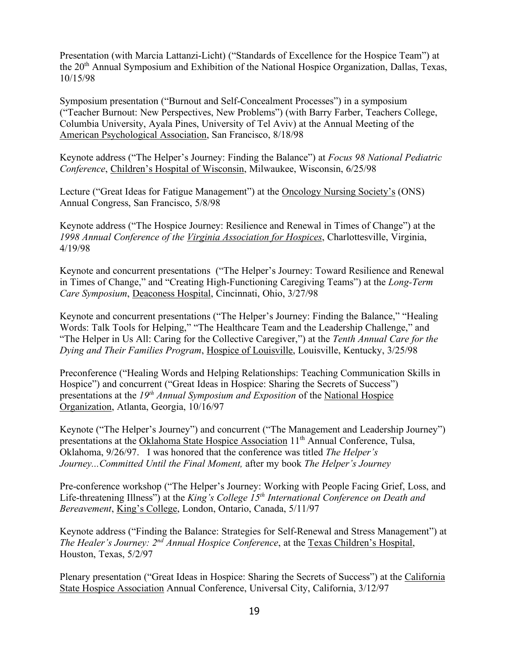Presentation (with Marcia Lattanzi-Licht) ("Standards of Excellence for the Hospice Team") at the 20<sup>th</sup> Annual Symposium and Exhibition of the National Hospice Organization, Dallas, Texas, 10/15/98

Symposium presentation ("Burnout and Self-Concealment Processes") in a symposium ("Teacher Burnout: New Perspectives, New Problems") (with Barry Farber, Teachers College, Columbia University, Ayala Pines, University of Tel Aviv) at the Annual Meeting of the American Psychological Association, San Francisco, 8/18/98

Keynote address ("The Helper's Journey: Finding the Balance") at *Focus 98 National Pediatric Conference*, Children's Hospital of Wisconsin, Milwaukee, Wisconsin, 6/25/98

Lecture ("Great Ideas for Fatigue Management") at the Oncology Nursing Society's (ONS) Annual Congress, San Francisco, 5/8/98

Keynote address ("The Hospice Journey: Resilience and Renewal in Times of Change") at the *1998 Annual Conference of the Virginia Association for Hospices*, Charlottesville, Virginia, 4/19/98

Keynote and concurrent presentations ("The Helper's Journey: Toward Resilience and Renewal in Times of Change," and "Creating High-Functioning Caregiving Teams") at the *Long-Term Care Symposium*, Deaconess Hospital, Cincinnati, Ohio, 3/27/98

Keynote and concurrent presentations ("The Helper's Journey: Finding the Balance," "Healing Words: Talk Tools for Helping," "The Healthcare Team and the Leadership Challenge," and "The Helper in Us All: Caring for the Collective Caregiver,") at the *Tenth Annual Care for the Dying and Their Families Program*, Hospice of Louisville, Louisville, Kentucky, 3/25/98

Preconference ("Healing Words and Helping Relationships: Teaching Communication Skills in Hospice") and concurrent ("Great Ideas in Hospice: Sharing the Secrets of Success") presentations at the *19th Annual Symposium and Exposition* of the National Hospice Organization, Atlanta, Georgia, 10/16/97

Keynote ("The Helper's Journey") and concurrent ("The Management and Leadership Journey") presentations at the Oklahoma State Hospice Association 11<sup>th</sup> Annual Conference, Tulsa, Oklahoma, 9/26/97. I was honored that the conference was titled *The Helper's Journey...Committed Until the Final Moment,* after my book *The Helper's Journey*

Pre-conference workshop ("The Helper's Journey: Working with People Facing Grief, Loss, and Life-threatening Illness") at the *King's College 15th International Conference on Death and Bereavement*, King's College, London, Ontario, Canada, 5/11/97

Keynote address ("Finding the Balance: Strategies for Self-Renewal and Stress Management") at *The Healer's Journey: 2nd Annual Hospice Conference*, at the Texas Children's Hospital, Houston, Texas, 5/2/97

Plenary presentation ("Great Ideas in Hospice: Sharing the Secrets of Success") at the California State Hospice Association Annual Conference, Universal City, California, 3/12/97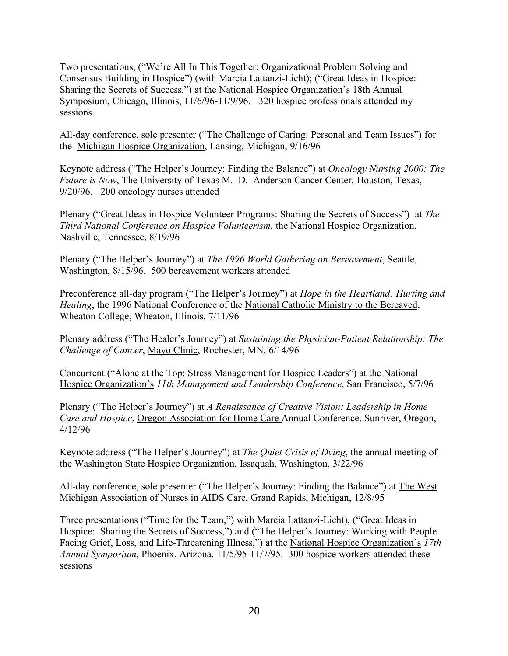Two presentations, ("We're All In This Together: Organizational Problem Solving and Consensus Building in Hospice") (with Marcia Lattanzi-Licht); ("Great Ideas in Hospice: Sharing the Secrets of Success,") at the National Hospice Organization's 18th Annual Symposium, Chicago, Illinois, 11/6/96-11/9/96. 320 hospice professionals attended my sessions.

All-day conference, sole presenter ("The Challenge of Caring: Personal and Team Issues") for the Michigan Hospice Organization, Lansing, Michigan, 9/16/96

Keynote address ("The Helper's Journey: Finding the Balance") at *Oncology Nursing 2000: The Future is Now*, The University of Texas M. D. Anderson Cancer Center, Houston, Texas, 9/20/96. 200 oncology nurses attended

Plenary ("Great Ideas in Hospice Volunteer Programs: Sharing the Secrets of Success") at *The Third National Conference on Hospice Volunteerism*, the National Hospice Organization, Nashville, Tennessee, 8/19/96

Plenary ("The Helper's Journey") at *The 1996 World Gathering on Bereavement*, Seattle, Washington, 8/15/96. 500 bereavement workers attended

Preconference all-day program ("The Helper's Journey") at *Hope in the Heartland: Hurting and Healing*, the 1996 National Conference of the National Catholic Ministry to the Bereaved, Wheaton College, Wheaton, Illinois, 7/11/96

Plenary address ("The Healer's Journey") at *Sustaining the Physician-Patient Relationship: The Challenge of Cancer*, Mayo Clinic, Rochester, MN, 6/14/96

Concurrent ("Alone at the Top: Stress Management for Hospice Leaders") at the National Hospice Organization's *11th Management and Leadership Conference*, San Francisco, 5/7/96

Plenary ("The Helper's Journey") at *A Renaissance of Creative Vision: Leadership in Home Care and Hospice*, Oregon Association for Home Care Annual Conference, Sunriver, Oregon, 4/12/96

Keynote address ("The Helper's Journey") at *The Quiet Crisis of Dying*, the annual meeting of the Washington State Hospice Organization, Issaquah, Washington, 3/22/96

All-day conference, sole presenter ("The Helper's Journey: Finding the Balance") at The West Michigan Association of Nurses in AIDS Care, Grand Rapids, Michigan, 12/8/95

Three presentations ("Time for the Team,") with Marcia Lattanzi-Licht), ("Great Ideas in Hospice: Sharing the Secrets of Success,") and ("The Helper's Journey: Working with People Facing Grief, Loss, and Life-Threatening Illness,") at the National Hospice Organization's *17th Annual Symposium*, Phoenix, Arizona, 11/5/95-11/7/95. 300 hospice workers attended these sessions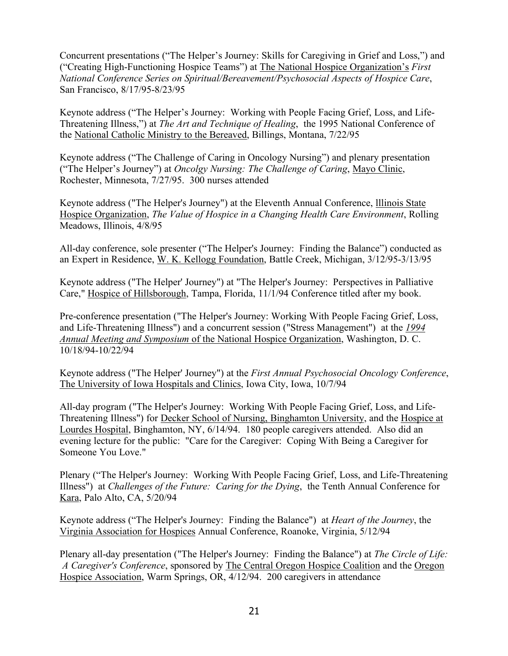Concurrent presentations ("The Helper's Journey: Skills for Caregiving in Grief and Loss,") and ("Creating High-Functioning Hospice Teams") at The National Hospice Organization's *First National Conference Series on Spiritual/Bereavement/Psychosocial Aspects of Hospice Care*, San Francisco, 8/17/95-8/23/95

Keynote address ("The Helper's Journey: Working with People Facing Grief, Loss, and Life-Threatening Illness,") at *The Art and Technique of Healing*, the 1995 National Conference of the National Catholic Ministry to the Bereaved, Billings, Montana, 7/22/95

Keynote address ("The Challenge of Caring in Oncology Nursing") and plenary presentation ("The Helper's Journey") at *Oncolgy Nursing: The Challenge of Caring*, Mayo Clinic, Rochester, Minnesota, 7/27/95. 300 nurses attended

Keynote address ("The Helper's Journey") at the Eleventh Annual Conference, lllinois State Hospice Organization, *The Value of Hospice in a Changing Health Care Environment*, Rolling Meadows, Illinois, 4/8/95

All-day conference, sole presenter ("The Helper's Journey: Finding the Balance") conducted as an Expert in Residence, W. K. Kellogg Foundation, Battle Creek, Michigan, 3/12/95-3/13/95

Keynote address ("The Helper' Journey") at "The Helper's Journey: Perspectives in Palliative Care," Hospice of Hillsborough, Tampa, Florida, 11/1/94 Conference titled after my book.

Pre-conference presentation ("The Helper's Journey: Working With People Facing Grief, Loss, and Life-Threatening Illness") and a concurrent session ("Stress Management") at the *1994 Annual Meeting and Symposium* of the National Hospice Organization, Washington, D. C. 10/18/94-10/22/94

Keynote address ("The Helper' Journey") at the *First Annual Psychosocial Oncology Conference*, The University of Iowa Hospitals and Clinics, Iowa City, Iowa, 10/7/94

All-day program ("The Helper's Journey: Working With People Facing Grief, Loss, and Life-Threatening Illness") for Decker School of Nursing, Binghamton University, and the Hospice at Lourdes Hospital, Binghamton, NY, 6/14/94. 180 people caregivers attended. Also did an evening lecture for the public: "Care for the Caregiver: Coping With Being a Caregiver for Someone You Love."

Plenary ("The Helper's Journey: Working With People Facing Grief, Loss, and Life-Threatening Illness") at *Challenges of the Future: Caring for the Dying*, the Tenth Annual Conference for Kara, Palo Alto, CA, 5/20/94

Keynote address ("The Helper's Journey: Finding the Balance") at *Heart of the Journey*, the Virginia Association for Hospices Annual Conference, Roanoke, Virginia, 5/12/94

Plenary all-day presentation ("The Helper's Journey: Finding the Balance") at *The Circle of Life: A Caregiver's Conference*, sponsored by The Central Oregon Hospice Coalition and the Oregon Hospice Association, Warm Springs, OR, 4/12/94. 200 caregivers in attendance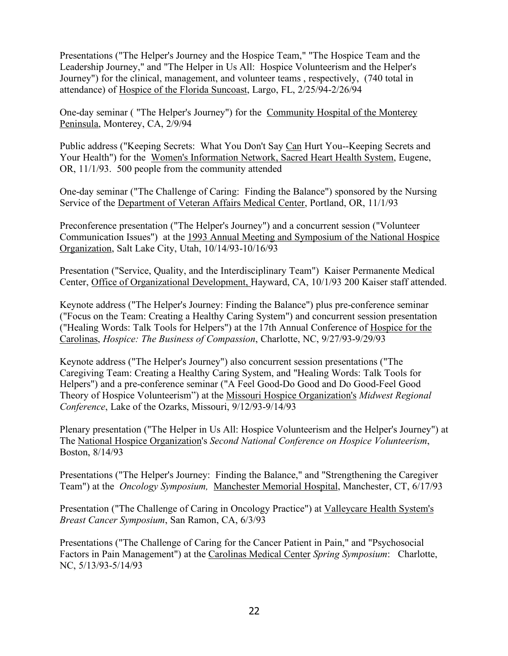Presentations ("The Helper's Journey and the Hospice Team," "The Hospice Team and the Leadership Journey," and "The Helper in Us All: Hospice Volunteerism and the Helper's Journey") for the clinical, management, and volunteer teams , respectively, (740 total in attendance) of Hospice of the Florida Suncoast, Largo, FL, 2/25/94-2/26/94

One-day seminar ( "The Helper's Journey") for the Community Hospital of the Monterey Peninsula, Monterey, CA, 2/9/94

Public address ("Keeping Secrets: What You Don't Say Can Hurt You--Keeping Secrets and Your Health") for the Women's Information Network, Sacred Heart Health System, Eugene, OR, 11/1/93. 500 people from the community attended

One-day seminar ("The Challenge of Caring: Finding the Balance") sponsored by the Nursing Service of the Department of Veteran Affairs Medical Center, Portland, OR, 11/1/93

Preconference presentation ("The Helper's Journey") and a concurrent session ("Volunteer Communication Issues") at the 1993 Annual Meeting and Symposium of the National Hospice Organization, Salt Lake City, Utah, 10/14/93-10/16/93

Presentation ("Service, Quality, and the Interdisciplinary Team") Kaiser Permanente Medical Center, Office of Organizational Development, Hayward, CA, 10/1/93 200 Kaiser staff attended.

Keynote address ("The Helper's Journey: Finding the Balance") plus pre-conference seminar ("Focus on the Team: Creating a Healthy Caring System") and concurrent session presentation ("Healing Words: Talk Tools for Helpers") at the 17th Annual Conference of Hospice for the Carolinas, *Hospice: The Business of Compassion*, Charlotte, NC, 9/27/93-9/29/93

Keynote address ("The Helper's Journey") also concurrent session presentations ("The Caregiving Team: Creating a Healthy Caring System, and "Healing Words: Talk Tools for Helpers") and a pre-conference seminar ("A Feel Good-Do Good and Do Good-Feel Good Theory of Hospice Volunteerism") at the Missouri Hospice Organization's *Midwest Regional Conference*, Lake of the Ozarks, Missouri, 9/12/93-9/14/93

Plenary presentation ("The Helper in Us All: Hospice Volunteerism and the Helper's Journey") at The National Hospice Organization's *Second National Conference on Hospice Volunteerism*, Boston, 8/14/93

Presentations ("The Helper's Journey: Finding the Balance," and "Strengthening the Caregiver Team") at the *Oncology Symposium,* Manchester Memorial Hospital, Manchester, CT, 6/17/93

Presentation ("The Challenge of Caring in Oncology Practice") at Valleycare Health System's *Breast Cancer Symposium*, San Ramon, CA, 6/3/93

Presentations ("The Challenge of Caring for the Cancer Patient in Pain," and "Psychosocial Factors in Pain Management") at the Carolinas Medical Center *Spring Symposium*: Charlotte, NC, 5/13/93-5/14/93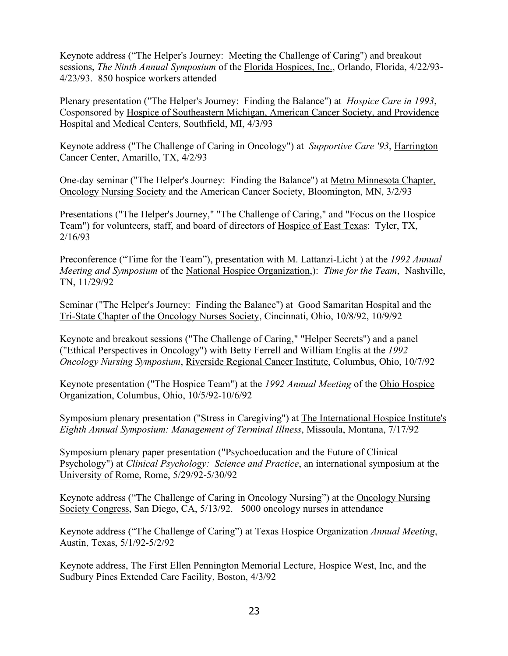Keynote address ("The Helper's Journey: Meeting the Challenge of Caring") and breakout sessions, *The Ninth Annual Symposium* of the Florida Hospices, Inc., Orlando, Florida, 4/22/93- 4/23/93. 850 hospice workers attended

Plenary presentation ("The Helper's Journey: Finding the Balance") at *Hospice Care in 1993*, Cosponsored by Hospice of Southeastern Michigan, American Cancer Society, and Providence Hospital and Medical Centers, Southfield, MI, 4/3/93

Keynote address ("The Challenge of Caring in Oncology") at *Supportive Care '93*, Harrington Cancer Center, Amarillo, TX, 4/2/93

One-day seminar ("The Helper's Journey: Finding the Balance") at Metro Minnesota Chapter, Oncology Nursing Society and the American Cancer Society, Bloomington, MN, 3/2/93

Presentations ("The Helper's Journey," "The Challenge of Caring," and "Focus on the Hospice Team") for volunteers, staff, and board of directors of Hospice of East Texas: Tyler, TX, 2/16/93

Preconference ("Time for the Team"), presentation with M. Lattanzi-Licht ) at the *1992 Annual Meeting and Symposium* of the National Hospice Organization,): *Time for the Team*, Nashville, TN, 11/29/92

Seminar ("The Helper's Journey: Finding the Balance") at Good Samaritan Hospital and the Tri-State Chapter of the Oncology Nurses Society, Cincinnati, Ohio, 10/8/92, 10/9/92

Keynote and breakout sessions ("The Challenge of Caring," "Helper Secrets") and a panel ("Ethical Perspectives in Oncology") with Betty Ferrell and William Englis at the *1992 Oncology Nursing Symposium*, Riverside Regional Cancer Institute, Columbus, Ohio, 10/7/92

Keynote presentation ("The Hospice Team") at the *1992 Annual Meeting* of the Ohio Hospice Organization, Columbus, Ohio, 10/5/92-10/6/92

Symposium plenary presentation ("Stress in Caregiving") at The International Hospice Institute's *Eighth Annual Symposium: Management of Terminal Illness*, Missoula, Montana, 7/17/92

Symposium plenary paper presentation ("Psychoeducation and the Future of Clinical Psychology") at *Clinical Psychology: Science and Practice*, an international symposium at the University of Rome, Rome, 5/29/92-5/30/92

Keynote address ("The Challenge of Caring in Oncology Nursing") at the Oncology Nursing Society Congress, San Diego, CA, 5/13/92. 5000 oncology nurses in attendance

Keynote address ("The Challenge of Caring") at Texas Hospice Organization *Annual Meeting*, Austin, Texas, 5/1/92-5/2/92

Keynote address, The First Ellen Pennington Memorial Lecture, Hospice West, Inc, and the Sudbury Pines Extended Care Facility, Boston, 4/3/92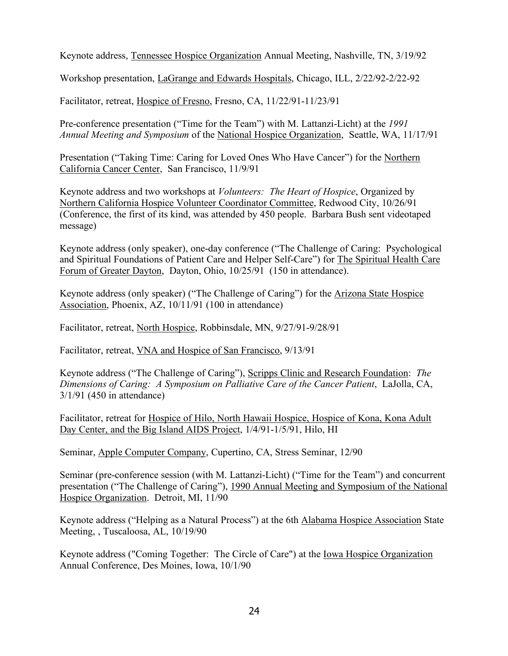Keynote address, Tennessee Hospice Organization Annual Meeting, Nashville, TN, 3/19/92

Workshop presentation, LaGrange and Edwards Hospitals, Chicago, ILL, 2/22/92-2/22-92

Facilitator, retreat, Hospice of Fresno, Fresno, CA, 11/22/91-11/23/91

Pre-conference presentation ("Time for the Team") with M. Lattanzi-Licht) at the *1991 Annual Meeting and Symposium* of the National Hospice Organization, Seattle, WA, 11/17/91

Presentation ("Taking Time: Caring for Loved Ones Who Have Cancer") for the Northern California Cancer Center, San Francisco, 11/9/91

Keynote address and two workshops at *Volunteers: The Heart of Hospice*, Organized by Northern California Hospice Volunteer Coordinator Committee, Redwood City, 10/26/91 (Conference, the first of its kind, was attended by 450 people. Barbara Bush sent videotaped message)

Keynote address (only speaker), one-day conference ("The Challenge of Caring: Psychological and Spiritual Foundations of Patient Care and Helper Self-Care") for The Spiritual Health Care Forum of Greater Dayton, Dayton, Ohio, 10/25/91 (150 in attendance).

Keynote address (only speaker) ("The Challenge of Caring") for the Arizona State Hospice Association, Phoenix, AZ, 10/11/91 (100 in attendance)

Facilitator, retreat, North Hospice, Robbinsdale, MN, 9/27/91-9/28/91

Facilitator, retreat, VNA and Hospice of San Francisco, 9/13/91

Keynote address ("The Challenge of Caring"), Scripps Clinic and Research Foundation: *The Dimensions of Caring: A Symposium on Palliative Care of the Cancer Patient*, LaJolla, CA, 3/1/91 (450 in attendance)

Facilitator, retreat for Hospice of Hilo, North Hawaii Hospice, Hospice of Kona, Kona Adult Day Center, and the Big Island AIDS Project, 1/4/91-1/5/91, Hilo, HI

Seminar, Apple Computer Company, Cupertino, CA, Stress Seminar, 12/90

Seminar (pre-conference session (with M. Lattanzi-Licht) ("Time for the Team") and concurrent presentation ("The Challenge of Caring"), 1990 Annual Meeting and Symposium of the National Hospice Organization. Detroit, MI, 11/90

Keynote address ("Helping as a Natural Process") at the 6th Alabama Hospice Association State Meeting, , Tuscaloosa, AL, 10/19/90

Keynote address ("Coming Together: The Circle of Care") at the Iowa Hospice Organization Annual Conference, Des Moines, Iowa, 10/1/90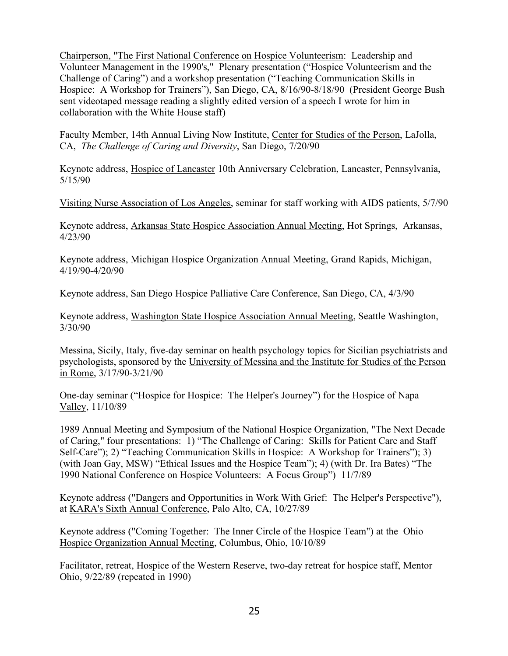Chairperson, "The First National Conference on Hospice Volunteerism: Leadership and Volunteer Management in the 1990's," Plenary presentation ("Hospice Volunteerism and the Challenge of Caring") and a workshop presentation ("Teaching Communication Skills in Hospice: A Workshop for Trainers"), San Diego, CA, 8/16/90-8/18/90 (President George Bush sent videotaped message reading a slightly edited version of a speech I wrote for him in collaboration with the White House staff)

Faculty Member, 14th Annual Living Now Institute, Center for Studies of the Person, LaJolla, CA, *The Challenge of Caring and Diversity*, San Diego, 7/20/90

Keynote address, Hospice of Lancaster 10th Anniversary Celebration, Lancaster, Pennsylvania, 5/15/90

Visiting Nurse Association of Los Angeles, seminar for staff working with AIDS patients, 5/7/90

Keynote address, Arkansas State Hospice Association Annual Meeting, Hot Springs, Arkansas, 4/23/90

Keynote address, Michigan Hospice Organization Annual Meeting, Grand Rapids, Michigan, 4/19/90-4/20/90

Keynote address, San Diego Hospice Palliative Care Conference, San Diego, CA, 4/3/90

Keynote address, Washington State Hospice Association Annual Meeting, Seattle Washington, 3/30/90

Messina, Sicily, Italy, five-day seminar on health psychology topics for Sicilian psychiatrists and psychologists, sponsored by the University of Messina and the Institute for Studies of the Person in Rome, 3/17/90-3/21/90

One-day seminar ("Hospice for Hospice: The Helper's Journey") for the Hospice of Napa Valley, 11/10/89

1989 Annual Meeting and Symposium of the National Hospice Organization, "The Next Decade of Caring," four presentations: 1) "The Challenge of Caring: Skills for Patient Care and Staff Self-Care"); 2) "Teaching Communication Skills in Hospice: A Workshop for Trainers"); 3) (with Joan Gay, MSW) "Ethical Issues and the Hospice Team"); 4) (with Dr. Ira Bates) "The 1990 National Conference on Hospice Volunteers: A Focus Group") 11/7/89

Keynote address ("Dangers and Opportunities in Work With Grief: The Helper's Perspective"), at KARA's Sixth Annual Conference, Palo Alto, CA, 10/27/89

Keynote address ("Coming Together: The Inner Circle of the Hospice Team") at the Ohio Hospice Organization Annual Meeting, Columbus, Ohio, 10/10/89

Facilitator, retreat, Hospice of the Western Reserve, two-day retreat for hospice staff, Mentor Ohio, 9/22/89 (repeated in 1990)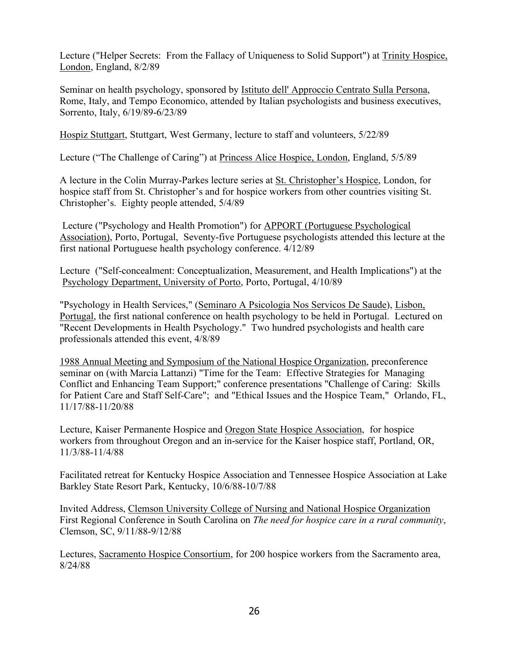Lecture ("Helper Secrets: From the Fallacy of Uniqueness to Solid Support") at Trinity Hospice, London, England, 8/2/89

Seminar on health psychology, sponsored by Istituto dell' Approccio Centrato Sulla Persona, Rome, Italy, and Tempo Economico, attended by Italian psychologists and business executives, Sorrento, Italy, 6/19/89-6/23/89

Hospiz Stuttgart, Stuttgart, West Germany, lecture to staff and volunteers, 5/22/89

Lecture ("The Challenge of Caring") at Princess Alice Hospice, London, England, 5/5/89

A lecture in the Colin Murray-Parkes lecture series at St. Christopher's Hospice, London, for hospice staff from St. Christopher's and for hospice workers from other countries visiting St. Christopher's. Eighty people attended, 5/4/89

Lecture ("Psychology and Health Promotion") for APPORT (Portuguese Psychological Association), Porto, Portugal, Seventy-five Portuguese psychologists attended this lecture at the first national Portuguese health psychology conference. 4/12/89

Lecture ("Self-concealment: Conceptualization, Measurement, and Health Implications") at the Psychology Department, University of Porto, Porto, Portugal, 4/10/89

"Psychology in Health Services," (Seminaro A Psicologia Nos Servicos De Saude), Lisbon, Portugal, the first national conference on health psychology to be held in Portugal. Lectured on "Recent Developments in Health Psychology." Two hundred psychologists and health care professionals attended this event, 4/8/89

1988 Annual Meeting and Symposium of the National Hospice Organization, preconference seminar on (with Marcia Lattanzi) "Time for the Team: Effective Strategies for Managing Conflict and Enhancing Team Support;" conference presentations "Challenge of Caring: Skills for Patient Care and Staff Self-Care"; and "Ethical Issues and the Hospice Team," Orlando, FL, 11/17/88-11/20/88

Lecture, Kaiser Permanente Hospice and Oregon State Hospice Association, for hospice workers from throughout Oregon and an in-service for the Kaiser hospice staff, Portland, OR, 11/3/88-11/4/88

Facilitated retreat for Kentucky Hospice Association and Tennessee Hospice Association at Lake Barkley State Resort Park, Kentucky, 10/6/88-10/7/88

Invited Address, Clemson University College of Nursing and National Hospice Organization First Regional Conference in South Carolina on *The need for hospice care in a rural community*, Clemson, SC, 9/11/88-9/12/88

Lectures, Sacramento Hospice Consortium, for 200 hospice workers from the Sacramento area, 8/24/88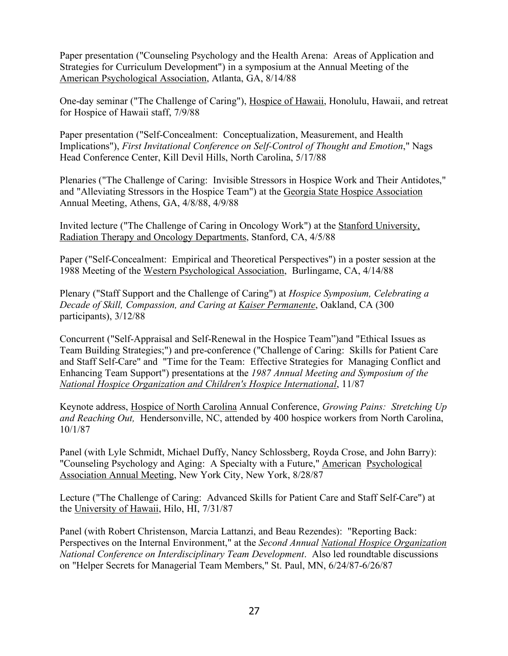Paper presentation ("Counseling Psychology and the Health Arena: Areas of Application and Strategies for Curriculum Development") in a symposium at the Annual Meeting of the American Psychological Association, Atlanta, GA, 8/14/88

One-day seminar ("The Challenge of Caring"), Hospice of Hawaii, Honolulu, Hawaii, and retreat for Hospice of Hawaii staff, 7/9/88

Paper presentation ("Self-Concealment: Conceptualization, Measurement, and Health Implications"), *First Invitational Conference on Self-Control of Thought and Emotion*," Nags Head Conference Center, Kill Devil Hills, North Carolina, 5/17/88

Plenaries ("The Challenge of Caring: Invisible Stressors in Hospice Work and Their Antidotes," and "Alleviating Stressors in the Hospice Team") at the Georgia State Hospice Association Annual Meeting, Athens, GA, 4/8/88, 4/9/88

Invited lecture ("The Challenge of Caring in Oncology Work") at the Stanford University, Radiation Therapy and Oncology Departments, Stanford, CA, 4/5/88

Paper ("Self-Concealment: Empirical and Theoretical Perspectives") in a poster session at the 1988 Meeting of the Western Psychological Association, Burlingame, CA, 4/14/88

Plenary ("Staff Support and the Challenge of Caring") at *Hospice Symposium, Celebrating a Decade of Skill, Compassion, and Caring at Kaiser Permanente*, Oakland, CA (300 participants), 3/12/88

Concurrent ("Self-Appraisal and Self-Renewal in the Hospice Team")and "Ethical Issues as Team Building Strategies;") and pre-conference ("Challenge of Caring: Skills for Patient Care and Staff Self-Care" and "Time for the Team: Effective Strategies for Managing Conflict and Enhancing Team Support") presentations at the *1987 Annual Meeting and Symposium of the National Hospice Organization and Children's Hospice International*, 11/87

Keynote address, Hospice of North Carolina Annual Conference, *Growing Pains: Stretching Up and Reaching Out,* Hendersonville, NC, attended by 400 hospice workers from North Carolina, 10/1/87

Panel (with Lyle Schmidt, Michael Duffy, Nancy Schlossberg, Royda Crose, and John Barry): "Counseling Psychology and Aging: A Specialty with a Future," American Psychological Association Annual Meeting, New York City, New York, 8/28/87

Lecture ("The Challenge of Caring: Advanced Skills for Patient Care and Staff Self-Care") at the University of Hawaii, Hilo, HI, 7/31/87

Panel (with Robert Christenson, Marcia Lattanzi, and Beau Rezendes): "Reporting Back: Perspectives on the Internal Environment," at the *Second Annual National Hospice Organization National Conference on Interdisciplinary Team Development*. Also led roundtable discussions on "Helper Secrets for Managerial Team Members," St. Paul, MN, 6/24/87-6/26/87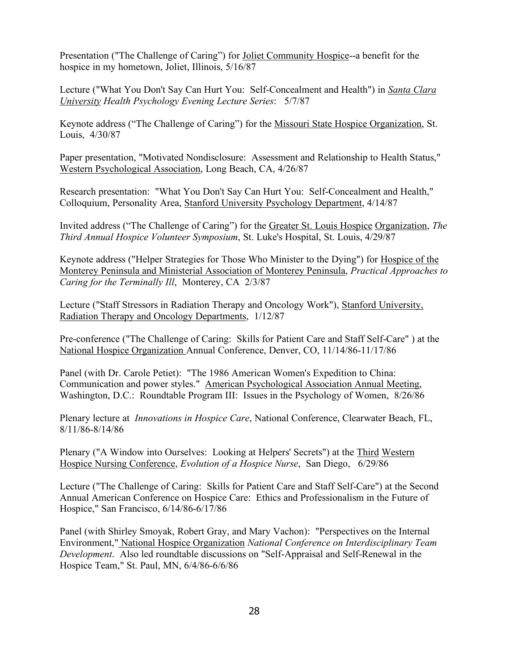Presentation ("The Challenge of Caring") for Joliet Community Hospice--a benefit for the hospice in my hometown, Joliet, Illinois, 5/16/87

Lecture ("What You Don't Say Can Hurt You: Self-Concealment and Health") in *Santa Clara University Health Psychology Evening Lecture Series*: 5/7/87

Keynote address ("The Challenge of Caring") for the Missouri State Hospice Organization, St. Louis, 4/30/87

Paper presentation, "Motivated Nondisclosure: Assessment and Relationship to Health Status," Western Psychological Association, Long Beach, CA, 4/26/87

Research presentation: "What You Don't Say Can Hurt You: Self-Concealment and Health," Colloquium, Personality Area, Stanford University Psychology Department, 4/14/87

Invited address ("The Challenge of Caring") for the Greater St. Louis Hospice Organization, *The Third Annual Hospice Volunteer Symposium*, St. Luke's Hospital, St. Louis, 4/29/87

Keynote address ("Helper Strategies for Those Who Minister to the Dying") for Hospice of the Monterey Peninsula and Ministerial Association of Monterey Peninsula, *Practical Approaches to Caring for the Terminally Ill*, Monterey, CA 2/3/87

Lecture ("Staff Stressors in Radiation Therapy and Oncology Work"), Stanford University, Radiation Therapy and Oncology Departments, 1/12/87

Pre-conference ("The Challenge of Caring: Skills for Patient Care and Staff Self-Care" ) at the National Hospice Organization Annual Conference, Denver, CO, 11/14/86-11/17/86

Panel (with Dr. Carole Petiet): "The 1986 American Women's Expedition to China: Communication and power styles." American Psychological Association Annual Meeting, Washington, D.C.: Roundtable Program III: Issues in the Psychology of Women, 8/26/86

Plenary lecture at *Innovations in Hospice Care*, National Conference, Clearwater Beach, FL, 8/11/86-8/14/86

Plenary ("A Window into Ourselves: Looking at Helpers' Secrets") at the Third Western Hospice Nursing Conference, *Evolution of a Hospice Nurse*, San Diego, 6/29/86

Lecture ("The Challenge of Caring: Skills for Patient Care and Staff Self-Care") at the Second Annual American Conference on Hospice Care: Ethics and Professionalism in the Future of Hospice," San Francisco, 6/14/86-6/17/86

Panel (with Shirley Smoyak, Robert Gray, and Mary Vachon): "Perspectives on the Internal Environment," National Hospice Organization *National Conference on Interdisciplinary Team Development*. Also led roundtable discussions on "Self-Appraisal and Self-Renewal in the Hospice Team," St. Paul, MN, 6/4/86-6/6/86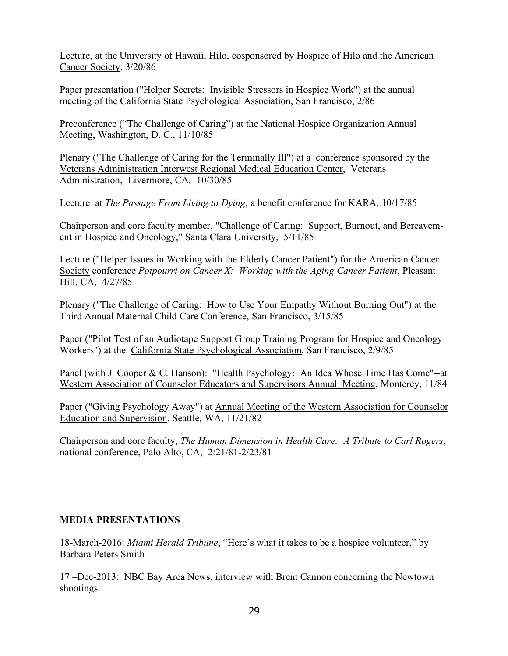Lecture, at the University of Hawaii, Hilo, cosponsored by Hospice of Hilo and the American Cancer Society, 3/20/86

Paper presentation ("Helper Secrets: Invisible Stressors in Hospice Work") at the annual meeting of the California State Psychological Association, San Francisco, 2/86

Preconference ("The Challenge of Caring") at the National Hospice Organization Annual Meeting, Washington, D. C., 11/10/85

Plenary ("The Challenge of Caring for the Terminally Ill") at a conference sponsored by the Veterans Administration Interwest Regional Medical Education Center, Veterans Administration, Livermore, CA, 10/30/85

Lecture at *The Passage From Living to Dying*, a benefit conference for KARA, 10/17/85

Chairperson and core faculty member, "Challenge of Caring: Support, Burnout, and Bereavement in Hospice and Oncology," Santa Clara University, 5/11/85

Lecture ("Helper Issues in Working with the Elderly Cancer Patient") for the American Cancer Society conference *Potpourri on Cancer X: Working with the Aging Cancer Patient*, Pleasant Hill, CA, 4/27/85

Plenary ("The Challenge of Caring: How to Use Your Empathy Without Burning Out") at the Third Annual Maternal Child Care Conference, San Francisco, 3/15/85

Paper ("Pilot Test of an Audiotape Support Group Training Program for Hospice and Oncology Workers") at the California State Psychological Association, San Francisco, 2/9/85

Panel (with J. Cooper & C. Hanson): "Health Psychology: An Idea Whose Time Has Come"--at Western Association of Counselor Educators and Supervisors Annual Meeting, Monterey, 11/84

Paper ("Giving Psychology Away") at Annual Meeting of the Western Association for Counselor Education and Supervision, Seattle, WA, 11/21/82

Chairperson and core faculty, *The Human Dimension in Health Care: A Tribute to Carl Rogers*, national conference, Palo Alto, CA, 2/21/81-2/23/81

## **MEDIA PRESENTATIONS**

18-March-2016: *Miami Herald Tribune*, "Here's what it takes to be a hospice volunteer," by Barbara Peters Smith

17 –Dec-2013: NBC Bay Area News, interview with Brent Cannon concerning the Newtown shootings.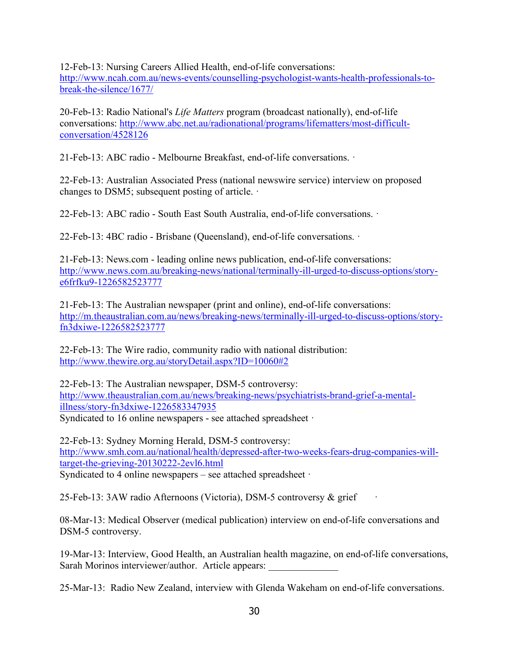12-Feb-13: Nursing Careers Allied Health, end-of-life conversations: http://www.ncah.com.au/news-events/counselling-psychologist-wants-health-professionals-tobreak-the-silence/1677/

20-Feb-13: Radio National's *Life Matters* program (broadcast nationally), end-of-life conversations: http://www.abc.net.au/radionational/programs/lifematters/most-difficultconversation/4528126

21-Feb-13: ABC radio - Melbourne Breakfast, end-of-life conversations. ·

22-Feb-13: Australian Associated Press (national newswire service) interview on proposed changes to DSM5; subsequent posting of article. ·

22-Feb-13: ABC radio - South East South Australia, end-of-life conversations. ·

22-Feb-13: 4BC radio - Brisbane (Queensland), end-of-life conversations. ·

21-Feb-13: News.com - leading online news publication, end-of-life conversations: http://www.news.com.au/breaking-news/national/terminally-ill-urged-to-discuss-options/storye6frfku9-1226582523777

21-Feb-13: The Australian newspaper (print and online), end-of-life conversations: http://m.theaustralian.com.au/news/breaking-news/terminally-ill-urged-to-discuss-options/storyfn3dxiwe-1226582523777

22-Feb-13: The Wire radio, community radio with national distribution: http://www.thewire.org.au/storyDetail.aspx?ID=10060#2

22-Feb-13: The Australian newspaper, DSM-5 controversy: http://www.theaustralian.com.au/news/breaking-news/psychiatrists-brand-grief-a-mentalillness/story-fn3dxiwe-1226583347935 Syndicated to 16 online newspapers - see attached spreadsheet ·

22-Feb-13: Sydney Morning Herald, DSM-5 controversy: http://www.smh.com.au/national/health/depressed-after-two-weeks-fears-drug-companies-willtarget-the-grieving-20130222-2evl6.html Syndicated to 4 online newspapers – see attached spreadsheet ·

25-Feb-13: 3AW radio Afternoons (Victoria), DSM-5 controversy & grief ·

08-Mar-13: Medical Observer (medical publication) interview on end-of-life conversations and DSM-5 controversy.

19-Mar-13: Interview, Good Health, an Australian health magazine, on end-of-life conversations, Sarah Morinos interviewer/author. Article appears:

25-Mar-13: Radio New Zealand, interview with Glenda Wakeham on end-of-life conversations.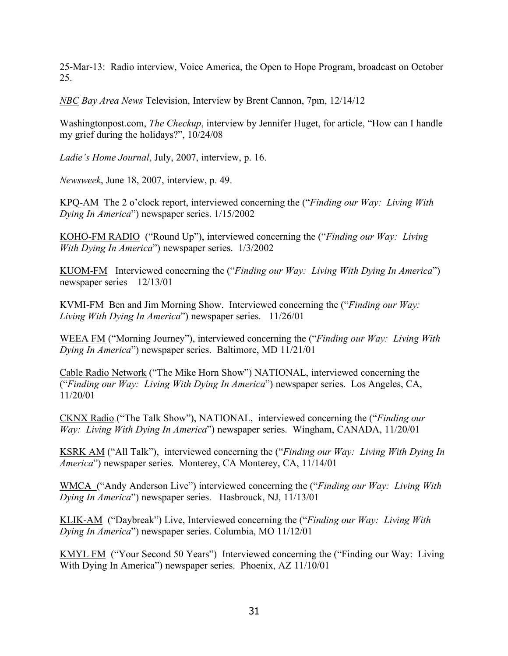25-Mar-13: Radio interview, Voice America, the Open to Hope Program, broadcast on October 25.

*NBC Bay Area News* Television, Interview by Brent Cannon, 7pm, 12/14/12

Washingtonpost.com, *The Checkup*, interview by Jennifer Huget, for article, "How can I handle my grief during the holidays?", 10/24/08

*Ladie's Home Journal*, July, 2007, interview, p. 16.

*Newsweek*, June 18, 2007, interview, p. 49.

KPQ-AM The 2 o'clock report, interviewed concerning the ("*Finding our Way: Living With Dying In America*") newspaper series. 1/15/2002

KOHO-FM RADIO ("Round Up"), interviewed concerning the ("*Finding our Way: Living With Dying In America*") newspaper series. 1/3/2002

KUOM-FM Interviewed concerning the ("*Finding our Way: Living With Dying In America*") newspaper series 12/13/01

KVMI-FM Ben and Jim Morning Show. Interviewed concerning the ("*Finding our Way: Living With Dying In America*") newspaper series. 11/26/01

WEEA FM ("Morning Journey"), interviewed concerning the ("*Finding our Way: Living With Dying In America*") newspaper series. Baltimore, MD 11/21/01

Cable Radio Network ("The Mike Horn Show") NATIONAL, interviewed concerning the ("*Finding our Way: Living With Dying In America*") newspaper series. Los Angeles, CA, 11/20/01

CKNX Radio ("The Talk Show"), NATIONAL, interviewed concerning the ("*Finding our Way: Living With Dying In America*") newspaper series. Wingham, CANADA, 11/20/01

KSRK AM ("All Talk"), interviewed concerning the ("*Finding our Way: Living With Dying In America*") newspaper series. Monterey, CA Monterey, CA, 11/14/01

WMCA ("Andy Anderson Live") interviewed concerning the ("*Finding our Way: Living With Dying In America*") newspaper series. Hasbrouck, NJ, 11/13/01

KLIK-AM ("Daybreak") Live, Interviewed concerning the ("*Finding our Way: Living With Dying In America*") newspaper series. Columbia, MO 11/12/01

KMYL FM ("Your Second 50 Years") Interviewed concerning the ("Finding our Way: Living With Dying In America") newspaper series. Phoenix, AZ 11/10/01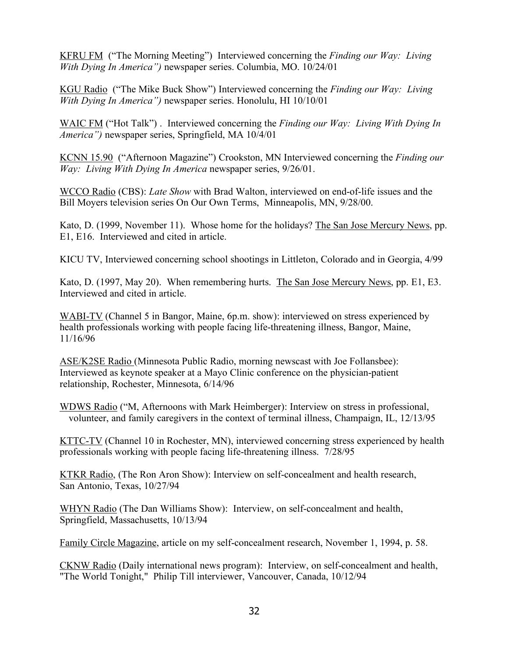KFRU FM ("The Morning Meeting") Interviewed concerning the *Finding our Way: Living With Dying In America")* newspaper series. Columbia, MO. 10/24/01

KGU Radio ("The Mike Buck Show") Interviewed concerning the *Finding our Way: Living With Dying In America")* newspaper series. Honolulu, HI 10/10/01

WAIC FM ("Hot Talk") . Interviewed concerning the *Finding our Way: Living With Dying In America")* newspaper series, Springfield, MA 10/4/01

KCNN 15.90 ("Afternoon Magazine") Crookston, MN Interviewed concerning the *Finding our Way: Living With Dying In America* newspaper series, 9/26/01.

WCCO Radio (CBS): *Late Show* with Brad Walton, interviewed on end-of-life issues and the Bill Moyers television series On Our Own Terms, Minneapolis, MN, 9/28/00.

Kato, D. (1999, November 11). Whose home for the holidays? The San Jose Mercury News, pp. E1, E16. Interviewed and cited in article.

KICU TV, Interviewed concerning school shootings in Littleton, Colorado and in Georgia, 4/99

Kato, D. (1997, May 20). When remembering hurts. The San Jose Mercury News, pp. E1, E3. Interviewed and cited in article.

WABI-TV (Channel 5 in Bangor, Maine, 6p.m. show): interviewed on stress experienced by health professionals working with people facing life-threatening illness, Bangor, Maine, 11/16/96

ASE/K2SE Radio (Minnesota Public Radio, morning newscast with Joe Follansbee): Interviewed as keynote speaker at a Mayo Clinic conference on the physician-patient relationship, Rochester, Minnesota, 6/14/96

WDWS Radio ("M, Afternoons with Mark Heimberger): Interview on stress in professional, volunteer, and family caregivers in the context of terminal illness, Champaign, IL, 12/13/95

KTTC-TV (Channel 10 in Rochester, MN), interviewed concerning stress experienced by health professionals working with people facing life-threatening illness. 7/28/95

KTKR Radio, (The Ron Aron Show): Interview on self-concealment and health research, San Antonio, Texas, 10/27/94

WHYN Radio (The Dan Williams Show): Interview, on self-concealment and health, Springfield, Massachusetts, 10/13/94

Family Circle Magazine, article on my self-concealment research, November 1, 1994, p. 58.

CKNW Radio (Daily international news program): Interview, on self-concealment and health, "The World Tonight," Philip Till interviewer, Vancouver, Canada, 10/12/94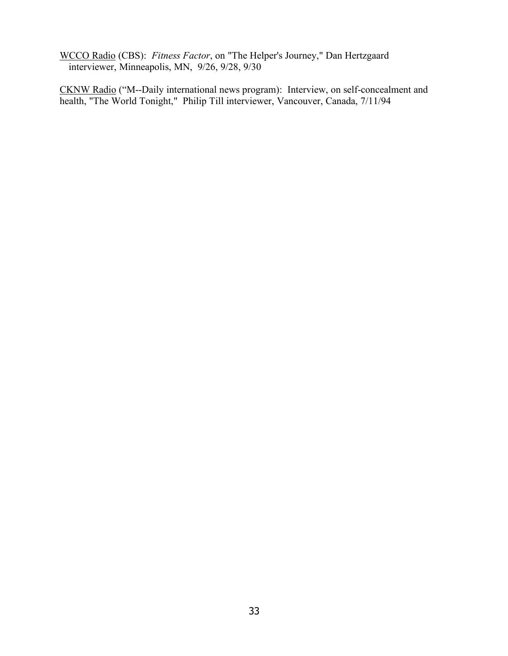WCCO Radio (CBS): *Fitness Factor*, on "The Helper's Journey," Dan Hertzgaard interviewer, Minneapolis, MN, 9/26, 9/28, 9/30

CKNW Radio ("M--Daily international news program): Interview, on self-concealment and health, "The World Tonight," Philip Till interviewer, Vancouver, Canada, 7/11/94